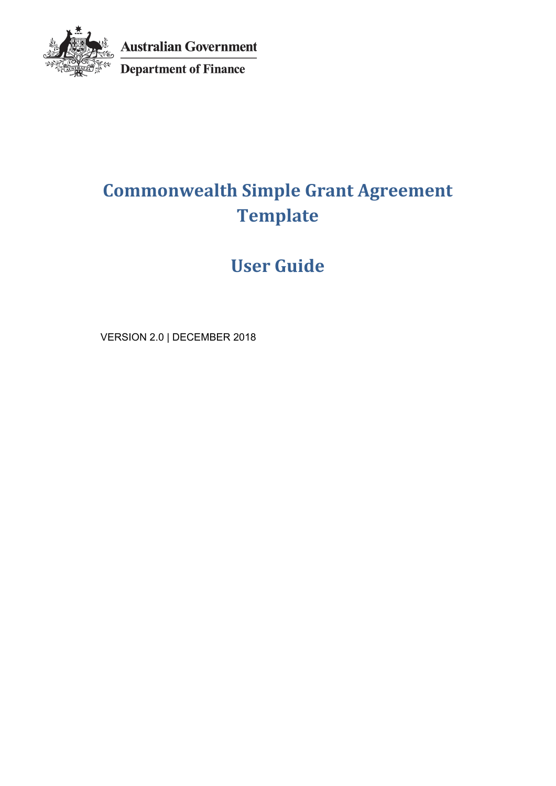

**Australian Government** 

Department of Finance

# **Commonwealth Simple Grant Agreement Template**

**User Guide**

VERSION 2.0 | DECEMBER 2018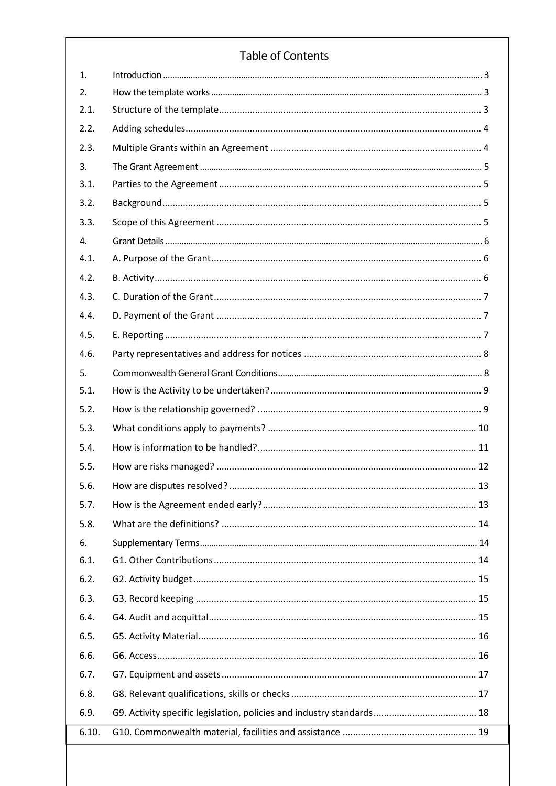# **Table of Contents**

| 1.    |    |
|-------|----|
| 2.    |    |
| 2.1.  |    |
| 2.2.  |    |
| 2.3.  |    |
| 3.    |    |
| 3.1.  |    |
| 3.2.  |    |
| 3.3.  |    |
| 4.    |    |
| 4.1.  |    |
| 4.2.  |    |
| 4.3.  |    |
| 4.4.  |    |
| 4.5.  |    |
| 4.6.  |    |
| 5.    |    |
| 5.1.  |    |
| 5.2.  |    |
| 5.3.  |    |
| 5.4.  |    |
| 5.5.  |    |
| 5.6.  | 13 |
| 5.7.  |    |
| 5.8.  |    |
| 6.    |    |
| 6.1.  |    |
| 6.2.  |    |
| 6.3.  |    |
| 6.4.  |    |
| 6.5.  |    |
| 6.6.  |    |
| 6.7.  |    |
| 6.8.  |    |
| 6.9.  |    |
| 6.10. |    |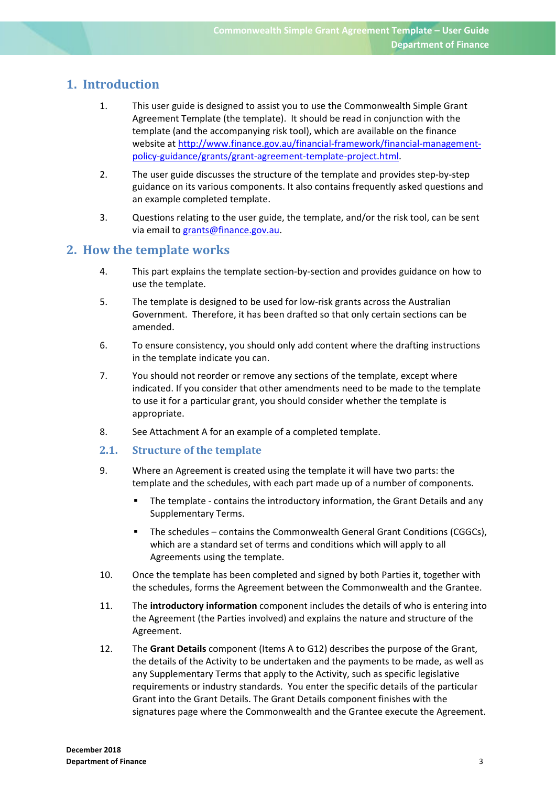# **1. Introduction**

- 1. This user guide is designed to assist you to use the Commonwealth Simple Grant Agreement Template (the template). It should be read in conjunction with the template (and the accompanying risk tool), which are available on the finance website at http://www.finance.gov.au/financial-framework/financial-managementpolicy‐guidance/grants/grant‐agreement‐template‐project.html.
- 2. The user guide discusses the structure of the template and provides step-by-step guidance on its various components. It also contains frequently asked questions and an example completed template.
- 3. Questions relating to the user guide, the template, and/or the risk tool, can be sent via email to grants@finance.gov.au.

### **2. How the template works**

- 4. This part explains the template section‐by‐section and provides guidance on how to use the template.
- 5. The template is designed to be used for low-risk grants across the Australian Government. Therefore, it has been drafted so that only certain sections can be amended.
- 6. To ensure consistency, you should only add content where the drafting instructions in the template indicate you can.
- 7. You should not reorder or remove any sections of the template, except where indicated. If you consider that other amendments need to be made to the template to use it for a particular grant, you should consider whether the template is appropriate.
- 8. See Attachment A for an example of a completed template.
- **2.1. Structure of the template**
- 9. Where an Agreement is created using the template it will have two parts: the template and the schedules, with each part made up of a number of components.
	- The template contains the introductory information, the Grant Details and any Supplementary Terms.
	- The schedules contains the Commonwealth General Grant Conditions (CGGCs), which are a standard set of terms and conditions which will apply to all Agreements using the template.
- 10. Once the template has been completed and signed by both Parties it, together with the schedules, forms the Agreement between the Commonwealth and the Grantee.
- 11. The **introductory information** component includes the details of who is entering into the Agreement (the Parties involved) and explains the nature and structure of the Agreement.
- 12. The **Grant Details** component (Items A to G12) describes the purpose of the Grant, the details of the Activity to be undertaken and the payments to be made, as well as any Supplementary Terms that apply to the Activity, such as specific legislative requirements or industry standards. You enter the specific details of the particular Grant into the Grant Details. The Grant Details component finishes with the signatures page where the Commonwealth and the Grantee execute the Agreement.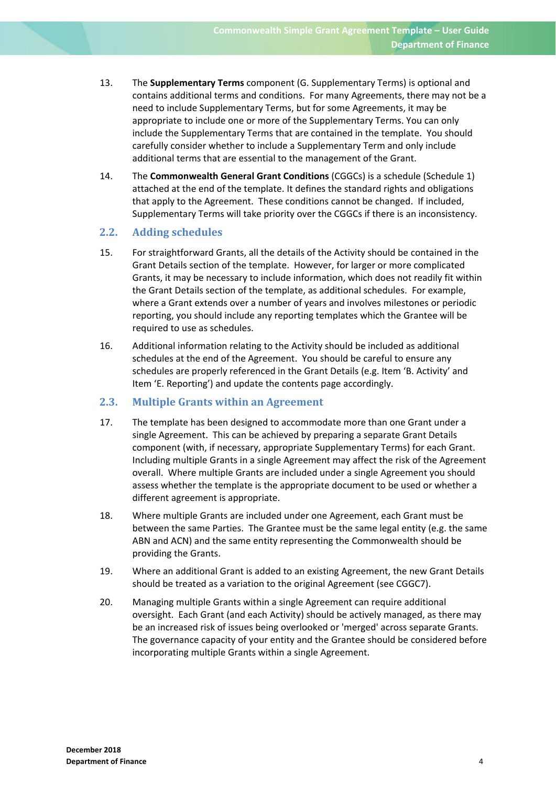- 13. The **Supplementary Terms** component (G. Supplementary Terms) is optional and contains additional terms and conditions. For many Agreements, there may not be a need to include Supplementary Terms, but for some Agreements, it may be appropriate to include one or more of the Supplementary Terms. You can only include the Supplementary Terms that are contained in the template. You should carefully consider whether to include a Supplementary Term and only include additional terms that are essential to the management of the Grant.
- 14. The **Commonwealth General Grant Conditions** (CGGCs) is a schedule (Schedule 1) attached at the end of the template. It defines the standard rights and obligations that apply to the Agreement. These conditions cannot be changed. If included, Supplementary Terms will take priority over the CGGCs if there is an inconsistency.

### **2.2. Adding schedules**

- 15. For straightforward Grants, all the details of the Activity should be contained in the Grant Details section of the template. However, for larger or more complicated Grants, it may be necessary to include information, which does not readily fit within the Grant Details section of the template, as additional schedules. For example, where a Grant extends over a number of years and involves milestones or periodic reporting, you should include any reporting templates which the Grantee will be required to use as schedules.
- 16. Additional information relating to the Activity should be included as additional schedules at the end of the Agreement. You should be careful to ensure any schedules are properly referenced in the Grant Details (e.g. Item 'B. Activity' and Item 'E. Reporting') and update the contents page accordingly.

### **2.3. Multiple Grants within an Agreement**

- 17. The template has been designed to accommodate more than one Grant under a single Agreement. This can be achieved by preparing a separate Grant Details component (with, if necessary, appropriate Supplementary Terms) for each Grant. Including multiple Grants in a single Agreement may affect the risk of the Agreement overall. Where multiple Grants are included under a single Agreement you should assess whether the template is the appropriate document to be used or whether a different agreement is appropriate.
- 18. Where multiple Grants are included under one Agreement, each Grant must be between the same Parties. The Grantee must be the same legal entity (e.g. the same ABN and ACN) and the same entity representing the Commonwealth should be providing the Grants.
- 19. Where an additional Grant is added to an existing Agreement, the new Grant Details should be treated as a variation to the original Agreement (see CGGC7).
- 20. Managing multiple Grants within a single Agreement can require additional oversight. Each Grant (and each Activity) should be actively managed, as there may be an increased risk of issues being overlooked or 'merged' across separate Grants. The governance capacity of your entity and the Grantee should be considered before incorporating multiple Grants within a single Agreement.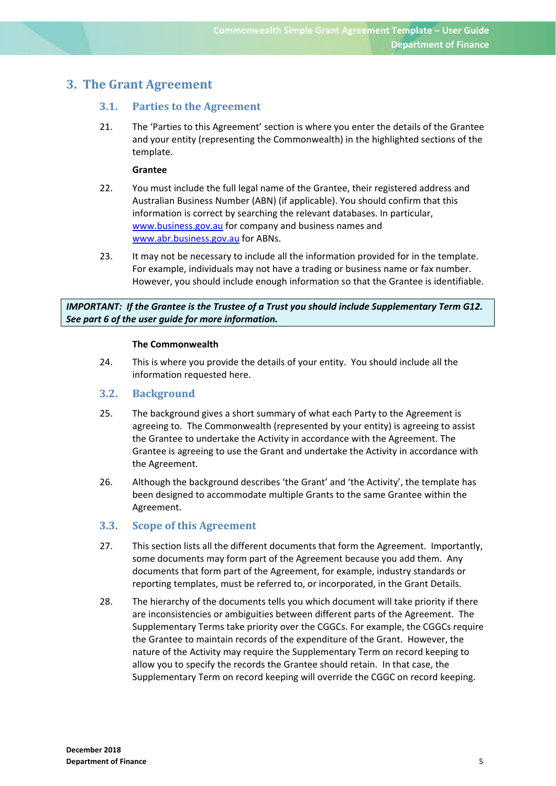# **3. The Grant Agreement**

### **3.1. Parties to the Agreement**

21. The 'Parties to this Agreement' section is where you enter the details of the Grantee and your entity (representing the Commonwealth) in the highlighted sections of the template.

### **Grantee**

- 22. You must include the full legal name of the Grantee, their registered address and Australian Business Number (ABN) (if applicable). You should confirm that this information is correct by searching the relevant databases. In particular, www.business.gov.au for company and business names and www.abr.business.gov.au for ABNs.
- 23. It may not be necessary to include all the information provided for in the template. For example, individuals may not have a trading or business name or fax number. However, you should include enough information so that the Grantee is identifiable.

*IMPORTANT: If the Grantee is the Trustee of a Trust you should include Supplementary Term G12. See part 6 of the user guide for more information.* 

#### **The Commonwealth**

24. This is where you provide the details of your entity. You should include all the information requested here.

### **3.2. Background**

- 25. The background gives a short summary of what each Party to the Agreement is agreeing to. The Commonwealth (represented by your entity) is agreeing to assist the Grantee to undertake the Activity in accordance with the Agreement. The Grantee is agreeing to use the Grant and undertake the Activity in accordance with the Agreement.
- 26. Although the background describes 'the Grant' and 'the Activity', the template has been designed to accommodate multiple Grants to the same Grantee within the Agreement.

### **3.3. Scope of this Agreement**

- 27. This section lists all the different documents that form the Agreement. Importantly, some documents may form part of the Agreement because you add them. Any documents that form part of the Agreement, for example, industry standards or reporting templates, must be referred to, or incorporated, in the Grant Details.
- 28. The hierarchy of the documents tells you which document will take priority if there are inconsistencies or ambiguities between different parts of the Agreement. The Supplementary Terms take priority over the CGGCs. For example, the CGGCs require the Grantee to maintain records of the expenditure of the Grant. However, the nature of the Activity may require the Supplementary Term on record keeping to allow you to specify the records the Grantee should retain. In that case, the Supplementary Term on record keeping will override the CGGC on record keeping.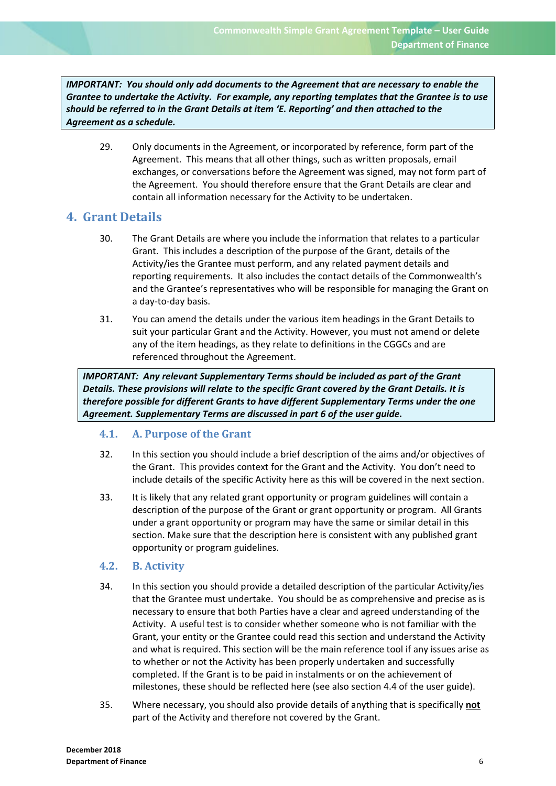*IMPORTANT: You should only add documents to the Agreement that are necessary to enable the Grantee to undertake the Activity. For example, any reporting templates that the Grantee is to use should be referred to in the Grant Details at item 'E. Reporting' and then attached to the Agreement as a schedule.*

29. Only documents in the Agreement, or incorporated by reference, form part of the Agreement. This means that all other things, such as written proposals, email exchanges, or conversations before the Agreement was signed, may not form part of the Agreement. You should therefore ensure that the Grant Details are clear and contain all information necessary for the Activity to be undertaken.

# **4. Grant Details**

- 30. The Grant Details are where you include the information that relates to a particular Grant. This includes a description of the purpose of the Grant, details of the Activity/ies the Grantee must perform, and any related payment details and reporting requirements. It also includes the contact details of the Commonwealth's and the Grantee's representatives who will be responsible for managing the Grant on a day‐to‐day basis.
- 31. You can amend the details under the various item headings in the Grant Details to suit your particular Grant and the Activity. However, you must not amend or delete any of the item headings, as they relate to definitions in the CGGCs and are referenced throughout the Agreement.

*IMPORTANT: Any relevant Supplementary Terms should be included as part of the Grant Details. These provisions will relate to the specific Grant covered by the Grant Details. It is therefore possible for different Grants to have different Supplementary Terms under the one Agreement. Supplementary Terms are discussed in part 6 of the user guide.*

### **4.1. A. Purpose of the Grant**

- 32. In this section you should include a brief description of the aims and/or objectives of the Grant. This provides context for the Grant and the Activity. You don't need to include details of the specific Activity here as this will be covered in the next section.
- 33. It is likely that any related grant opportunity or program guidelines will contain a description of the purpose of the Grant or grant opportunity or program. All Grants under a grant opportunity or program may have the same or similar detail in this section. Make sure that the description here is consistent with any published grant opportunity or program guidelines.

### **4.2. B. Activity**

- 34. In this section you should provide a detailed description of the particular Activity/ies that the Grantee must undertake. You should be as comprehensive and precise as is necessary to ensure that both Parties have a clear and agreed understanding of the Activity. A useful test is to consider whether someone who is not familiar with the Grant, your entity or the Grantee could read this section and understand the Activity and what is required. This section will be the main reference tool if any issues arise as to whether or not the Activity has been properly undertaken and successfully completed. If the Grant is to be paid in instalments or on the achievement of milestones, these should be reflected here (see also section 4.4 of the user guide).
- 35. Where necessary, you should also provide details of anything that is specifically **not** part of the Activity and therefore not covered by the Grant.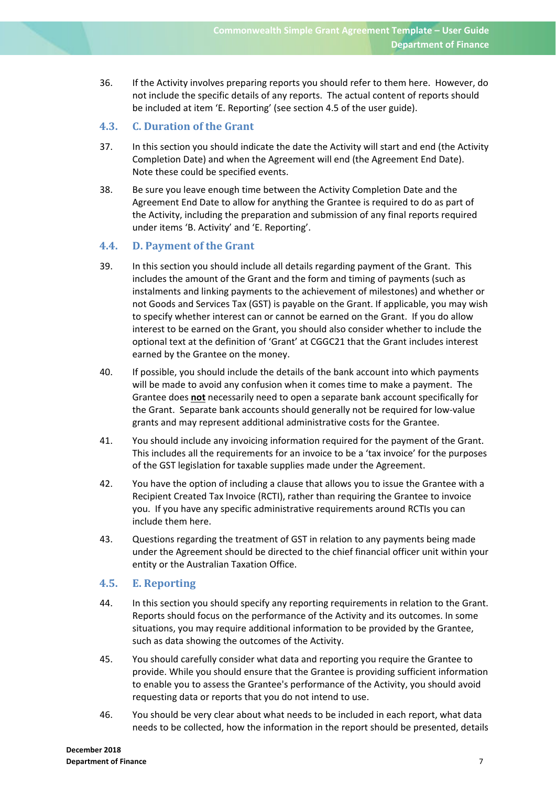36. If the Activity involves preparing reports you should refer to them here. However, do not include the specific details of any reports. The actual content of reports should be included at item 'E. Reporting' (see section 4.5 of the user guide).

### **4.3. C. Duration of the Grant**

- 37. In this section you should indicate the date the Activity will start and end (the Activity Completion Date) and when the Agreement will end (the Agreement End Date). Note these could be specified events.
- 38. Be sure you leave enough time between the Activity Completion Date and the Agreement End Date to allow for anything the Grantee is required to do as part of the Activity, including the preparation and submission of any final reports required under items 'B. Activity' and 'E. Reporting'.

### **4.4. D. Payment of the Grant**

- 39. In this section you should include all details regarding payment of the Grant. This includes the amount of the Grant and the form and timing of payments (such as instalments and linking payments to the achievement of milestones) and whether or not Goods and Services Tax (GST) is payable on the Grant. If applicable, you may wish to specify whether interest can or cannot be earned on the Grant. If you do allow interest to be earned on the Grant, you should also consider whether to include the optional text at the definition of 'Grant' at CGGC21 that the Grant includes interest earned by the Grantee on the money.
- 40. If possible, you should include the details of the bank account into which payments will be made to avoid any confusion when it comes time to make a payment. The Grantee does **not** necessarily need to open a separate bank account specifically for the Grant. Separate bank accounts should generally not be required for low‐value grants and may represent additional administrative costs for the Grantee.
- 41. You should include any invoicing information required for the payment of the Grant. This includes all the requirements for an invoice to be a 'tax invoice' for the purposes of the GST legislation for taxable supplies made under the Agreement.
- 42. You have the option of including a clause that allows you to issue the Grantee with a Recipient Created Tax Invoice (RCTI), rather than requiring the Grantee to invoice you. If you have any specific administrative requirements around RCTIs you can include them here.
- 43. Questions regarding the treatment of GST in relation to any payments being made under the Agreement should be directed to the chief financial officer unit within your entity or the Australian Taxation Office.

### **4.5. E. Reporting**

- 44. In this section you should specify any reporting requirements in relation to the Grant. Reports should focus on the performance of the Activity and its outcomes. In some situations, you may require additional information to be provided by the Grantee, such as data showing the outcomes of the Activity.
- 45. You should carefully consider what data and reporting you require the Grantee to provide. While you should ensure that the Grantee is providing sufficient information to enable you to assess the Grantee's performance of the Activity, you should avoid requesting data or reports that you do not intend to use.
- 46. You should be very clear about what needs to be included in each report, what data needs to be collected, how the information in the report should be presented, details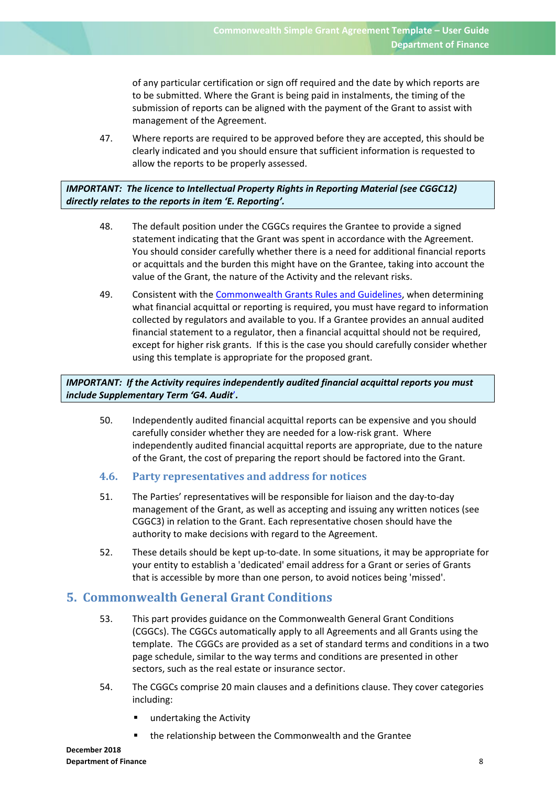of any particular certification or sign off required and the date by which reports are to be submitted. Where the Grant is being paid in instalments, the timing of the submission of reports can be aligned with the payment of the Grant to assist with management of the Agreement.

47. Where reports are required to be approved before they are accepted, this should be clearly indicated and you should ensure that sufficient information is requested to allow the reports to be properly assessed.

### *IMPORTANT: The licence to Intellectual Property Rights in Reporting Material (see CGGC12) directly relates to the reports in item 'E. Reporting'.*

- 48. The default position under the CGGCs requires the Grantee to provide a signed statement indicating that the Grant was spent in accordance with the Agreement. You should consider carefully whether there is a need for additional financial reports or acquittals and the burden this might have on the Grantee, taking into account the value of the Grant, the nature of the Activity and the relevant risks.
- 49. Consistent with the Commonwealth Grants Rules and Guidelines, when determining what financial acquittal or reporting is required, you must have regard to information collected by regulators and available to you. If a Grantee provides an annual audited financial statement to a regulator, then a financial acquittal should not be required, except for higher risk grants. If this is the case you should carefully consider whether using this template is appropriate for the proposed grant.

*IMPORTANT: If the Activity requires independently audited financial acquittal reports you must include Supplementary Term 'G4. Audit*'*.* 

- 50. Independently audited financial acquittal reports can be expensive and you should carefully consider whether they are needed for a low-risk grant. Where independently audited financial acquittal reports are appropriate, due to the nature of the Grant, the cost of preparing the report should be factored into the Grant.
- **4.6. Party representatives and address for notices**
- 51. The Parties' representatives will be responsible for liaison and the day‐to‐day management of the Grant, as well as accepting and issuing any written notices (see CGGC3) in relation to the Grant. Each representative chosen should have the authority to make decisions with regard to the Agreement.
- 52. These details should be kept up-to-date. In some situations, it may be appropriate for your entity to establish a 'dedicated' email address for a Grant or series of Grants that is accessible by more than one person, to avoid notices being 'missed'.

### **5. Commonwealth General Grant Conditions**

- 53. This part provides guidance on the Commonwealth General Grant Conditions (CGGCs). The CGGCs automatically apply to all Agreements and all Grants using the template. The CGGCs are provided as a set of standard terms and conditions in a two page schedule, similar to the way terms and conditions are presented in other sectors, such as the real estate or insurance sector.
- 54. The CGGCs comprise 20 main clauses and a definitions clause. They cover categories including:
	- undertaking the Activity
		- the relationship between the Commonwealth and the Grantee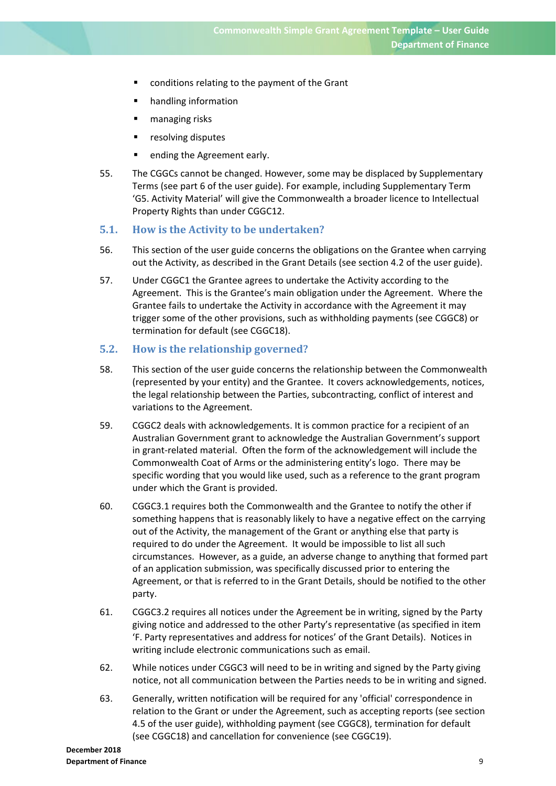- conditions relating to the payment of the Grant
- **•** handling information
- managing risks
- resolving disputes
- ending the Agreement early.
- 55. The CGGCs cannot be changed. However, some may be displaced by Supplementary Terms (see part 6 of the user guide). For example, including Supplementary Term 'G5. Activity Material' will give the Commonwealth a broader licence to Intellectual Property Rights than under CGGC12.

### **5.1. How is the Activity to be undertaken?**

- 56. This section of the user guide concerns the obligations on the Grantee when carrying out the Activity, as described in the Grant Details (see section 4.2 of the user guide).
- 57. Under CGGC1 the Grantee agrees to undertake the Activity according to the Agreement. This is the Grantee's main obligation under the Agreement. Where the Grantee fails to undertake the Activity in accordance with the Agreement it may trigger some of the other provisions, such as withholding payments (see CGGC8) or termination for default (see CGGC18).

### **5.2. How is the relationship governed?**

- 58. This section of the user guide concerns the relationship between the Commonwealth (represented by your entity) and the Grantee. It covers acknowledgements, notices, the legal relationship between the Parties, subcontracting, conflict of interest and variations to the Agreement.
- 59. CGGC2 deals with acknowledgements. It is common practice for a recipient of an Australian Government grant to acknowledge the Australian Government's support in grant-related material. Often the form of the acknowledgement will include the Commonwealth Coat of Arms or the administering entity's logo. There may be specific wording that you would like used, such as a reference to the grant program under which the Grant is provided.
- 60. CGGC3.1 requires both the Commonwealth and the Grantee to notify the other if something happens that is reasonably likely to have a negative effect on the carrying out of the Activity, the management of the Grant or anything else that party is required to do under the Agreement. It would be impossible to list all such circumstances. However, as a guide, an adverse change to anything that formed part of an application submission, was specifically discussed prior to entering the Agreement, or that is referred to in the Grant Details, should be notified to the other party.
- 61. CGGC3.2 requires all notices under the Agreement be in writing, signed by the Party giving notice and addressed to the other Party's representative (as specified in item 'F. Party representatives and address for notices' of the Grant Details). Notices in writing include electronic communications such as email.
- 62. While notices under CGGC3 will need to be in writing and signed by the Party giving notice, not all communication between the Parties needs to be in writing and signed.
- 63. Generally, written notification will be required for any 'official' correspondence in relation to the Grant or under the Agreement, such as accepting reports (see section 4.5 of the user guide), withholding payment (see CGGC8), termination for default (see CGGC18) and cancellation for convenience (see CGGC19).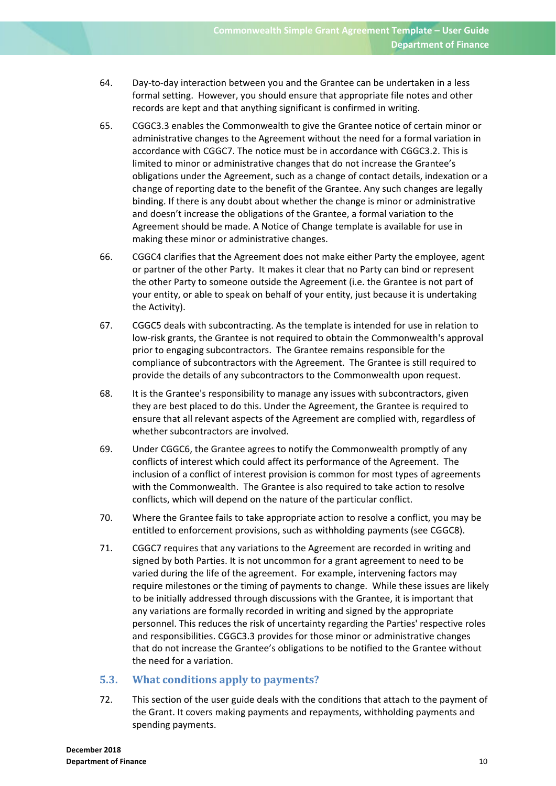- 64. Day‐to‐day interaction between you and the Grantee can be undertaken in a less formal setting. However, you should ensure that appropriate file notes and other records are kept and that anything significant is confirmed in writing.
- 65. CGGC3.3 enables the Commonwealth to give the Grantee notice of certain minor or administrative changes to the Agreement without the need for a formal variation in accordance with CGGC7. The notice must be in accordance with CGGC3.2. This is limited to minor or administrative changes that do not increase the Grantee's obligations under the Agreement, such as a change of contact details, indexation or a change of reporting date to the benefit of the Grantee. Any such changes are legally binding. If there is any doubt about whether the change is minor or administrative and doesn't increase the obligations of the Grantee, a formal variation to the Agreement should be made. A Notice of Change template is available for use in making these minor or administrative changes.
- 66. CGGC4 clarifies that the Agreement does not make either Party the employee, agent or partner of the other Party. It makes it clear that no Party can bind or represent the other Party to someone outside the Agreement (i.e. the Grantee is not part of your entity, or able to speak on behalf of your entity, just because it is undertaking the Activity).
- 67. CGGC5 deals with subcontracting. As the template is intended for use in relation to low‐risk grants, the Grantee is not required to obtain the Commonwealth's approval prior to engaging subcontractors. The Grantee remains responsible for the compliance of subcontractors with the Agreement. The Grantee is still required to provide the details of any subcontractors to the Commonwealth upon request.
- 68. It is the Grantee's responsibility to manage any issues with subcontractors, given they are best placed to do this. Under the Agreement, the Grantee is required to ensure that all relevant aspects of the Agreement are complied with, regardless of whether subcontractors are involved.
- 69. Under CGGC6, the Grantee agrees to notify the Commonwealth promptly of any conflicts of interest which could affect its performance of the Agreement. The inclusion of a conflict of interest provision is common for most types of agreements with the Commonwealth. The Grantee is also required to take action to resolve conflicts, which will depend on the nature of the particular conflict.
- 70. Where the Grantee fails to take appropriate action to resolve a conflict, you may be entitled to enforcement provisions, such as withholding payments (see CGGC8).
- 71. CGGC7 requires that any variations to the Agreement are recorded in writing and signed by both Parties. It is not uncommon for a grant agreement to need to be varied during the life of the agreement. For example, intervening factors may require milestones or the timing of payments to change. While these issues are likely to be initially addressed through discussions with the Grantee, it is important that any variations are formally recorded in writing and signed by the appropriate personnel. This reduces the risk of uncertainty regarding the Parties' respective roles and responsibilities. CGGC3.3 provides for those minor or administrative changes that do not increase the Grantee's obligations to be notified to the Grantee without the need for a variation.

### **5.3. What conditions apply to payments?**

72. This section of the user guide deals with the conditions that attach to the payment of the Grant. It covers making payments and repayments, withholding payments and spending payments.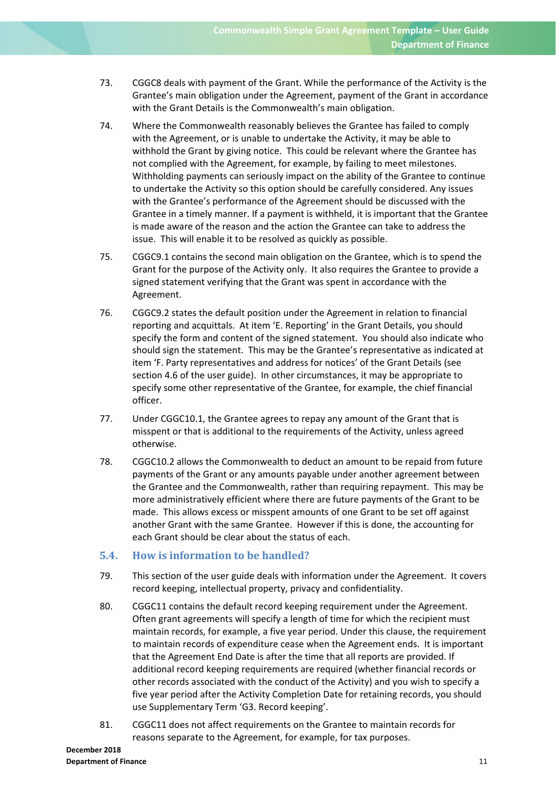- 73. CGGC8 deals with payment of the Grant. While the performance of the Activity is the Grantee's main obligation under the Agreement, payment of the Grant in accordance with the Grant Details is the Commonwealth's main obligation.
- 74. Where the Commonwealth reasonably believes the Grantee has failed to comply with the Agreement, or is unable to undertake the Activity, it may be able to withhold the Grant by giving notice. This could be relevant where the Grantee has not complied with the Agreement, for example, by failing to meet milestones. Withholding payments can seriously impact on the ability of the Grantee to continue to undertake the Activity so this option should be carefully considered. Any issues with the Grantee's performance of the Agreement should be discussed with the Grantee in a timely manner. If a payment is withheld, it is important that the Grantee is made aware of the reason and the action the Grantee can take to address the issue. This will enable it to be resolved as quickly as possible.
- 75. CGGC9.1 contains the second main obligation on the Grantee, which is to spend the Grant for the purpose of the Activity only. It also requires the Grantee to provide a signed statement verifying that the Grant was spent in accordance with the Agreement.
- 76. CGGC9.2 states the default position under the Agreement in relation to financial reporting and acquittals. At item 'E. Reporting' in the Grant Details, you should specify the form and content of the signed statement. You should also indicate who should sign the statement. This may be the Grantee's representative as indicated at item 'F. Party representatives and address for notices' of the Grant Details (see section 4.6 of the user guide). In other circumstances, it may be appropriate to specify some other representative of the Grantee, for example, the chief financial officer.
- 77. Under CGGC10.1, the Grantee agrees to repay any amount of the Grant that is misspent or that is additional to the requirements of the Activity, unless agreed otherwise.
- 78. CGGC10.2 allows the Commonwealth to deduct an amount to be repaid from future payments of the Grant or any amounts payable under another agreement between the Grantee and the Commonwealth, rather than requiring repayment. This may be more administratively efficient where there are future payments of the Grant to be made. This allows excess or misspent amounts of one Grant to be set off against another Grant with the same Grantee. However if this is done, the accounting for each Grant should be clear about the status of each.

### **5.4. How is information to be handled?**

- 79. This section of the user guide deals with information under the Agreement. It covers record keeping, intellectual property, privacy and confidentiality.
- 80. CGGC11 contains the default record keeping requirement under the Agreement. Often grant agreements will specify a length of time for which the recipient must maintain records, for example, a five year period. Under this clause, the requirement to maintain records of expenditure cease when the Agreement ends. It is important that the Agreement End Date is after the time that all reports are provided. If additional record keeping requirements are required (whether financial records or other records associated with the conduct of the Activity) and you wish to specify a five year period after the Activity Completion Date for retaining records, you should use Supplementary Term 'G3. Record keeping'.
- 81. CGGC11 does not affect requirements on the Grantee to maintain records for reasons separate to the Agreement, for example, for tax purposes.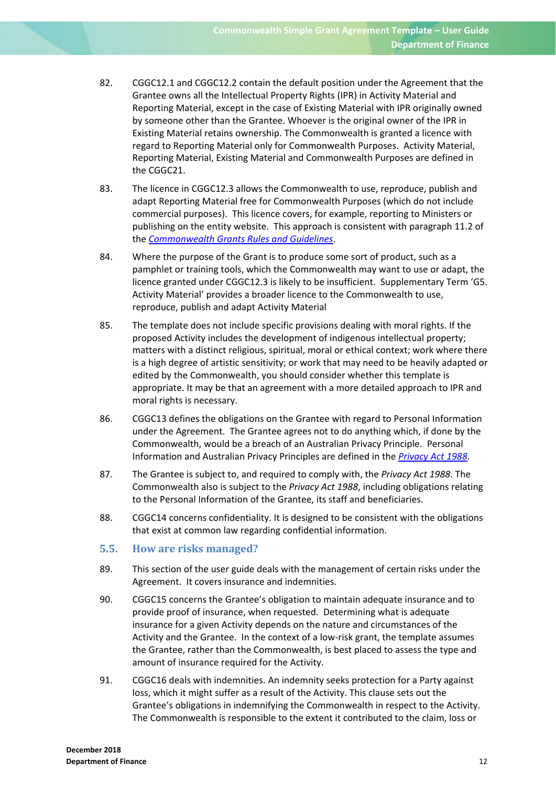- 82. CGGC12.1 and CGGC12.2 contain the default position under the Agreement that the Grantee owns all the Intellectual Property Rights (IPR) in Activity Material and Reporting Material, except in the case of Existing Material with IPR originally owned by someone other than the Grantee. Whoever is the original owner of the IPR in Existing Material retains ownership. The Commonwealth is granted a licence with regard to Reporting Material only for Commonwealth Purposes. Activity Material, Reporting Material, Existing Material and Commonwealth Purposes are defined in the CGGC21.
- 83. The licence in CGGC12.3 allows the Commonwealth to use, reproduce, publish and adapt Reporting Material free for Commonwealth Purposes (which do not include commercial purposes). This licence covers, for example, reporting to Ministers or publishing on the entity website. This approach is consistent with paragraph 11.2 of the *Commonwealth Grants Rules and Guidelines*.
- 84. Where the purpose of the Grant is to produce some sort of product, such as a pamphlet or training tools, which the Commonwealth may want to use or adapt, the licence granted under CGGC12.3 is likely to be insufficient. Supplementary Term 'G5. Activity Material' provides a broader licence to the Commonwealth to use, reproduce, publish and adapt Activity Material
- 85. The template does not include specific provisions dealing with moral rights. If the proposed Activity includes the development of indigenous intellectual property; matters with a distinct religious, spiritual, moral or ethical context; work where there is a high degree of artistic sensitivity; or work that may need to be heavily adapted or edited by the Commonwealth, you should consider whether this template is appropriate. It may be that an agreement with a more detailed approach to IPR and moral rights is necessary.
- 86. CGGC13 defines the obligations on the Grantee with regard to Personal Information under the Agreement. The Grantee agrees not to do anything which, if done by the Commonwealth, would be a breach of an Australian Privacy Principle. Personal Information and Australian Privacy Principles are defined in the *Privacy Act 1988*.
- 87. The Grantee is subject to, and required to comply with, the *Privacy Act 1988*. The Commonwealth also is subject to the *Privacy Act 1988*, including obligations relating to the Personal Information of the Grantee, its staff and beneficiaries.
- 88. CGGC14 concerns confidentiality. It is designed to be consistent with the obligations that exist at common law regarding confidential information.

### **5.5. How are risks managed?**

- 89. This section of the user guide deals with the management of certain risks under the Agreement. It covers insurance and indemnities.
- 90. CGGC15 concerns the Grantee's obligation to maintain adequate insurance and to provide proof of insurance, when requested. Determining what is adequate insurance for a given Activity depends on the nature and circumstances of the Activity and the Grantee. In the context of a low-risk grant, the template assumes the Grantee, rather than the Commonwealth, is best placed to assess the type and amount of insurance required for the Activity.
- 91. CGGC16 deals with indemnities. An indemnity seeks protection for a Party against loss, which it might suffer as a result of the Activity. This clause sets out the Grantee's obligations in indemnifying the Commonwealth in respect to the Activity. The Commonwealth is responsible to the extent it contributed to the claim, loss or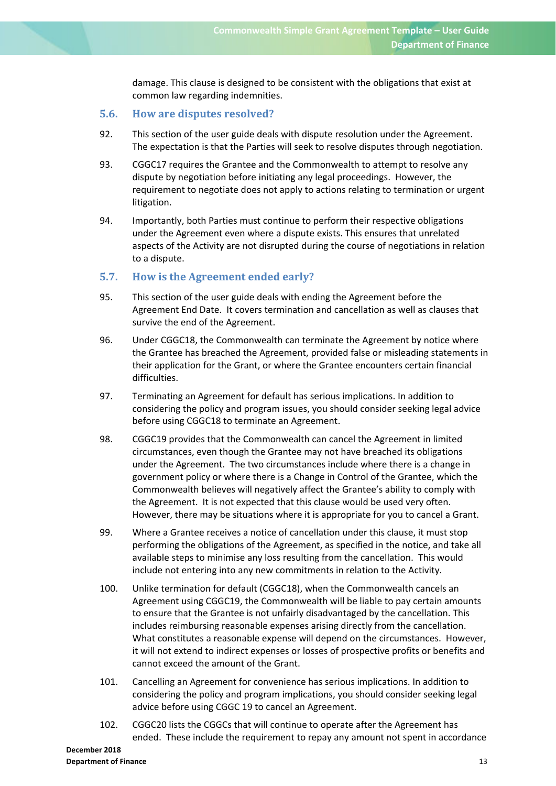damage. This clause is designed to be consistent with the obligations that exist at common law regarding indemnities.

### **5.6. How are disputes resolved?**

- 92. This section of the user guide deals with dispute resolution under the Agreement. The expectation is that the Parties will seek to resolve disputes through negotiation.
- 93. CGGC17 requires the Grantee and the Commonwealth to attempt to resolve any dispute by negotiation before initiating any legal proceedings. However, the requirement to negotiate does not apply to actions relating to termination or urgent litigation.
- 94. Importantly, both Parties must continue to perform their respective obligations under the Agreement even where a dispute exists. This ensures that unrelated aspects of the Activity are not disrupted during the course of negotiations in relation to a dispute.

### **5.7. How is the Agreement ended early?**

- 95. This section of the user guide deals with ending the Agreement before the Agreement End Date. It covers termination and cancellation as well as clauses that survive the end of the Agreement.
- 96. Under CGGC18, the Commonwealth can terminate the Agreement by notice where the Grantee has breached the Agreement, provided false or misleading statements in their application for the Grant, or where the Grantee encounters certain financial difficulties.
- 97. Terminating an Agreement for default has serious implications. In addition to considering the policy and program issues, you should consider seeking legal advice before using CGGC18 to terminate an Agreement.
- 98. CGGC19 provides that the Commonwealth can cancel the Agreement in limited circumstances, even though the Grantee may not have breached its obligations under the Agreement. The two circumstances include where there is a change in government policy or where there is a Change in Control of the Grantee, which the Commonwealth believes will negatively affect the Grantee's ability to comply with the Agreement. It is not expected that this clause would be used very often. However, there may be situations where it is appropriate for you to cancel a Grant.
- 99. Where a Grantee receives a notice of cancellation under this clause, it must stop performing the obligations of the Agreement, as specified in the notice, and take all available steps to minimise any loss resulting from the cancellation. This would include not entering into any new commitments in relation to the Activity.
- 100. Unlike termination for default (CGGC18), when the Commonwealth cancels an Agreement using CGGC19, the Commonwealth will be liable to pay certain amounts to ensure that the Grantee is not unfairly disadvantaged by the cancellation. This includes reimbursing reasonable expenses arising directly from the cancellation. What constitutes a reasonable expense will depend on the circumstances. However, it will not extend to indirect expenses or losses of prospective profits or benefits and cannot exceed the amount of the Grant.
- 101. Cancelling an Agreement for convenience has serious implications. In addition to considering the policy and program implications, you should consider seeking legal advice before using CGGC 19 to cancel an Agreement.
- 102. CGGC20 lists the CGGCs that will continue to operate after the Agreement has ended. These include the requirement to repay any amount not spent in accordance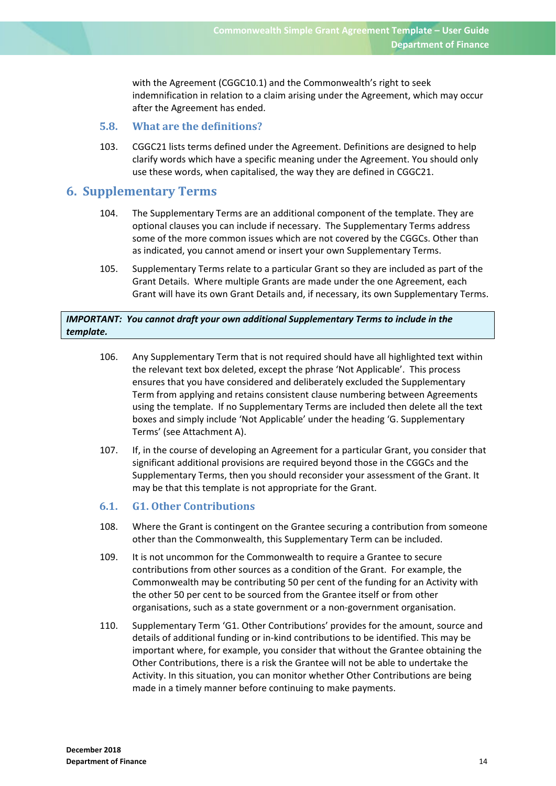with the Agreement (CGGC10.1) and the Commonwealth's right to seek indemnification in relation to a claim arising under the Agreement, which may occur after the Agreement has ended.

### **5.8. What are the definitions?**

103. CGGC21 lists terms defined under the Agreement. Definitions are designed to help clarify words which have a specific meaning under the Agreement. You should only use these words, when capitalised, the way they are defined in CGGC21.

### **6. Supplementary Terms**

- 104. The Supplementary Terms are an additional component of the template. They are optional clauses you can include if necessary. The Supplementary Terms address some of the more common issues which are not covered by the CGGCs. Other than as indicated, you cannot amend or insert your own Supplementary Terms.
- 105. Supplementary Terms relate to a particular Grant so they are included as part of the Grant Details. Where multiple Grants are made under the one Agreement, each Grant will have its own Grant Details and, if necessary, its own Supplementary Terms.

### *IMPORTANT: You cannot draft your own additional Supplementary Terms to include in the template.*

- 106. Any Supplementary Term that is not required should have all highlighted text within the relevant text box deleted, except the phrase 'Not Applicable'. This process ensures that you have considered and deliberately excluded the Supplementary Term from applying and retains consistent clause numbering between Agreements using the template. If no Supplementary Terms are included then delete all the text boxes and simply include 'Not Applicable' under the heading 'G. Supplementary Terms' (see Attachment A).
- 107. If, in the course of developing an Agreement for a particular Grant, you consider that significant additional provisions are required beyond those in the CGGCs and the Supplementary Terms, then you should reconsider your assessment of the Grant. It may be that this template is not appropriate for the Grant.
- **6.1. G1. Other Contributions**
- 108. Where the Grant is contingent on the Grantee securing a contribution from someone other than the Commonwealth, this Supplementary Term can be included.
- 109. It is not uncommon for the Commonwealth to require a Grantee to secure contributions from other sources as a condition of the Grant. For example, the Commonwealth may be contributing 50 per cent of the funding for an Activity with the other 50 per cent to be sourced from the Grantee itself or from other organisations, such as a state government or a non‐government organisation.
- 110. Supplementary Term 'G1. Other Contributions' provides for the amount, source and details of additional funding or in‐kind contributions to be identified. This may be important where, for example, you consider that without the Grantee obtaining the Other Contributions, there is a risk the Grantee will not be able to undertake the Activity. In this situation, you can monitor whether Other Contributions are being made in a timely manner before continuing to make payments.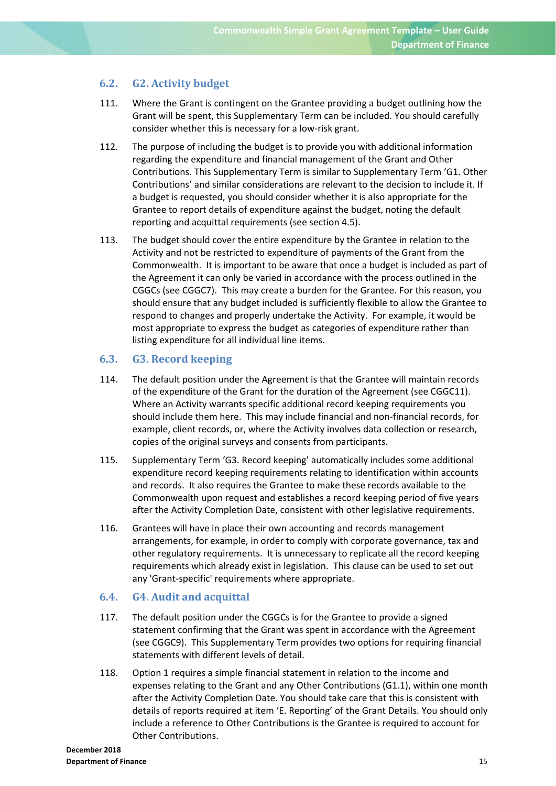### **6.2. G2. Activity budget**

- 111. Where the Grant is contingent on the Grantee providing a budget outlining how the Grant will be spent, this Supplementary Term can be included. You should carefully consider whether this is necessary for a low‐risk grant.
- 112. The purpose of including the budget is to provide you with additional information regarding the expenditure and financial management of the Grant and Other Contributions. This Supplementary Term is similar to Supplementary Term 'G1. Other Contributions' and similar considerations are relevant to the decision to include it. If a budget is requested, you should consider whether it is also appropriate for the Grantee to report details of expenditure against the budget, noting the default reporting and acquittal requirements (see section 4.5).
- 113. The budget should cover the entire expenditure by the Grantee in relation to the Activity and not be restricted to expenditure of payments of the Grant from the Commonwealth. It is important to be aware that once a budget is included as part of the Agreement it can only be varied in accordance with the process outlined in the CGGCs (see CGGC7). This may create a burden for the Grantee. For this reason, you should ensure that any budget included is sufficiently flexible to allow the Grantee to respond to changes and properly undertake the Activity. For example, it would be most appropriate to express the budget as categories of expenditure rather than listing expenditure for all individual line items.

### **6.3. G3. Record keeping**

- 114. The default position under the Agreement is that the Grantee will maintain records of the expenditure of the Grant for the duration of the Agreement (see CGGC11). Where an Activity warrants specific additional record keeping requirements you should include them here. This may include financial and non‐financial records, for example, client records, or, where the Activity involves data collection or research, copies of the original surveys and consents from participants.
- 115. Supplementary Term 'G3. Record keeping' automatically includes some additional expenditure record keeping requirements relating to identification within accounts and records. It also requires the Grantee to make these records available to the Commonwealth upon request and establishes a record keeping period of five years after the Activity Completion Date, consistent with other legislative requirements.
- 116. Grantees will have in place their own accounting and records management arrangements, for example, in order to comply with corporate governance, tax and other regulatory requirements. It is unnecessary to replicate all the record keeping requirements which already exist in legislation. This clause can be used to set out any 'Grant‐specific' requirements where appropriate.

### **6.4. G4. Audit and acquittal**

- 117. The default position under the CGGCs is for the Grantee to provide a signed statement confirming that the Grant was spent in accordance with the Agreement (see CGGC9). This Supplementary Term provides two options for requiring financial statements with different levels of detail.
- 118. Option 1 requires a simple financial statement in relation to the income and expenses relating to the Grant and any Other Contributions (G1.1), within one month after the Activity Completion Date. You should take care that this is consistent with details of reports required at item 'E. Reporting' of the Grant Details. You should only include a reference to Other Contributions is the Grantee is required to account for Other Contributions.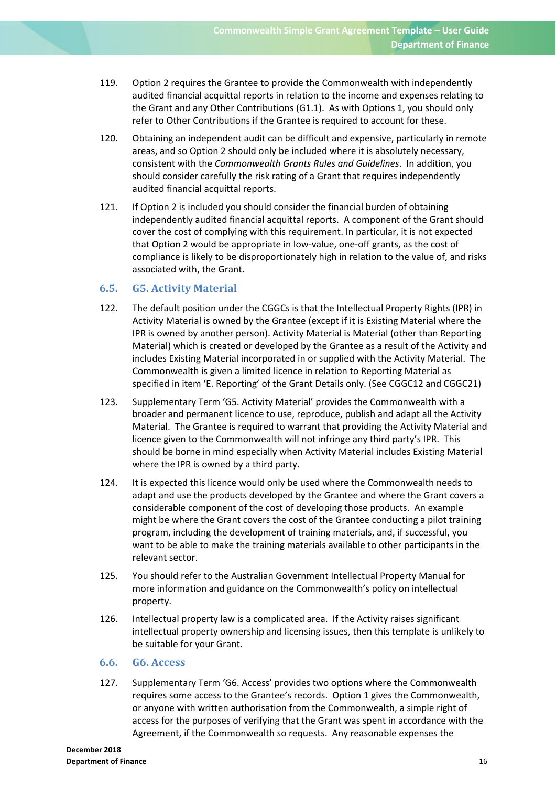- 119. Option 2 requires the Grantee to provide the Commonwealth with independently audited financial acquittal reports in relation to the income and expenses relating to the Grant and any Other Contributions (G1.1). As with Options 1, you should only refer to Other Contributions if the Grantee is required to account for these.
- 120. Obtaining an independent audit can be difficult and expensive, particularly in remote areas, and so Option 2 should only be included where it is absolutely necessary, consistent with the *Commonwealth Grants Rules and Guidelines*. In addition, you should consider carefully the risk rating of a Grant that requires independently audited financial acquittal reports.
- 121. If Option 2 is included you should consider the financial burden of obtaining independently audited financial acquittal reports. A component of the Grant should cover the cost of complying with this requirement. In particular, it is not expected that Option 2 would be appropriate in low‐value, one‐off grants, as the cost of compliance is likely to be disproportionately high in relation to the value of, and risks associated with, the Grant.

### **6.5. G5. Activity Material**

- 122. The default position under the CGGCs is that the Intellectual Property Rights (IPR) in Activity Material is owned by the Grantee (except if it is Existing Material where the IPR is owned by another person). Activity Material is Material (other than Reporting Material) which is created or developed by the Grantee as a result of the Activity and includes Existing Material incorporated in or supplied with the Activity Material. The Commonwealth is given a limited licence in relation to Reporting Material as specified in item 'E. Reporting' of the Grant Details only. (See CGGC12 and CGGC21)
- 123. Supplementary Term 'G5. Activity Material' provides the Commonwealth with a broader and permanent licence to use, reproduce, publish and adapt all the Activity Material. The Grantee is required to warrant that providing the Activity Material and licence given to the Commonwealth will not infringe any third party's IPR. This should be borne in mind especially when Activity Material includes Existing Material where the IPR is owned by a third party.
- 124. It is expected this licence would only be used where the Commonwealth needs to adapt and use the products developed by the Grantee and where the Grant covers a considerable component of the cost of developing those products. An example might be where the Grant covers the cost of the Grantee conducting a pilot training program, including the development of training materials, and, if successful, you want to be able to make the training materials available to other participants in the relevant sector.
- 125. You should refer to the Australian Government Intellectual Property Manual for more information and guidance on the Commonwealth's policy on intellectual property.
- 126. Intellectual property law is a complicated area. If the Activity raises significant intellectual property ownership and licensing issues, then this template is unlikely to be suitable for your Grant.

### **6.6. G6. Access**

127. Supplementary Term 'G6. Access' provides two options where the Commonwealth requires some access to the Grantee's records. Option 1 gives the Commonwealth, or anyone with written authorisation from the Commonwealth, a simple right of access for the purposes of verifying that the Grant was spent in accordance with the Agreement, if the Commonwealth so requests. Any reasonable expenses the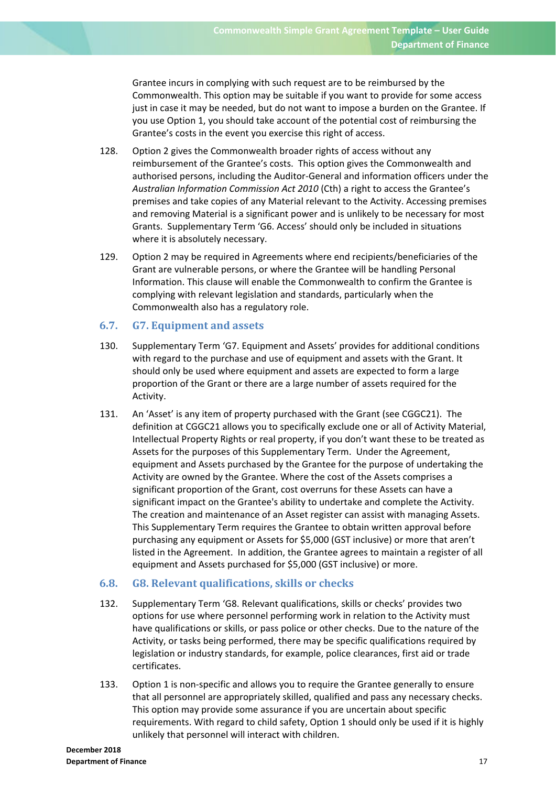Grantee incurs in complying with such request are to be reimbursed by the Commonwealth. This option may be suitable if you want to provide for some access just in case it may be needed, but do not want to impose a burden on the Grantee. If you use Option 1, you should take account of the potential cost of reimbursing the Grantee's costs in the event you exercise this right of access.

- 128. Option 2 gives the Commonwealth broader rights of access without any reimbursement of the Grantee's costs. This option gives the Commonwealth and authorised persons, including the Auditor‐General and information officers under the *Australian Information Commission Act 2010* (Cth) a right to access the Grantee's premises and take copies of any Material relevant to the Activity. Accessing premises and removing Material is a significant power and is unlikely to be necessary for most Grants. Supplementary Term 'G6. Access' should only be included in situations where it is absolutely necessary.
- 129. Option 2 may be required in Agreements where end recipients/beneficiaries of the Grant are vulnerable persons, or where the Grantee will be handling Personal Information. This clause will enable the Commonwealth to confirm the Grantee is complying with relevant legislation and standards, particularly when the Commonwealth also has a regulatory role.

### **6.7. G7. Equipment and assets**

- 130. Supplementary Term 'G7. Equipment and Assets' provides for additional conditions with regard to the purchase and use of equipment and assets with the Grant. It should only be used where equipment and assets are expected to form a large proportion of the Grant or there are a large number of assets required for the Activity.
- 131. An 'Asset' is any item of property purchased with the Grant (see CGGC21). The definition at CGGC21 allows you to specifically exclude one or all of Activity Material, Intellectual Property Rights or real property, if you don't want these to be treated as Assets for the purposes of this Supplementary Term. Under the Agreement, equipment and Assets purchased by the Grantee for the purpose of undertaking the Activity are owned by the Grantee. Where the cost of the Assets comprises a significant proportion of the Grant, cost overruns for these Assets can have a significant impact on the Grantee's ability to undertake and complete the Activity. The creation and maintenance of an Asset register can assist with managing Assets. This Supplementary Term requires the Grantee to obtain written approval before purchasing any equipment or Assets for \$5,000 (GST inclusive) or more that aren't listed in the Agreement. In addition, the Grantee agrees to maintain a register of all equipment and Assets purchased for \$5,000 (GST inclusive) or more.

### **6.8. G8. Relevant qualifications, skills or checks**

- 132. Supplementary Term 'G8. Relevant qualifications, skills or checks' provides two options for use where personnel performing work in relation to the Activity must have qualifications or skills, or pass police or other checks. Due to the nature of the Activity, or tasks being performed, there may be specific qualifications required by legislation or industry standards, for example, police clearances, first aid or trade certificates.
- 133. Option 1 is non‐specific and allows you to require the Grantee generally to ensure that all personnel are appropriately skilled, qualified and pass any necessary checks. This option may provide some assurance if you are uncertain about specific requirements. With regard to child safety, Option 1 should only be used if it is highly unlikely that personnel will interact with children.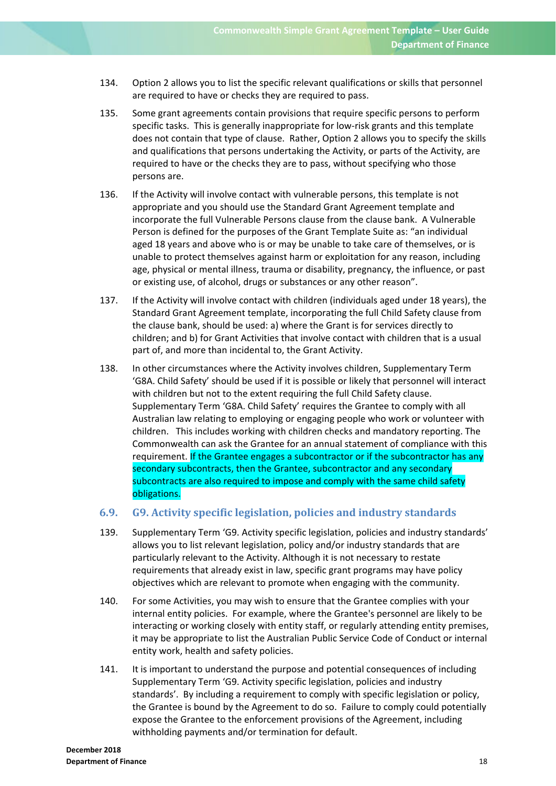- 134. Option 2 allows you to list the specific relevant qualifications or skills that personnel are required to have or checks they are required to pass.
- 135. Some grant agreements contain provisions that require specific persons to perform specific tasks. This is generally inappropriate for low-risk grants and this template does not contain that type of clause. Rather, Option 2 allows you to specify the skills and qualifications that persons undertaking the Activity, or parts of the Activity, are required to have or the checks they are to pass, without specifying who those persons are.
- 136. If the Activity will involve contact with vulnerable persons, this template is not appropriate and you should use the Standard Grant Agreement template and incorporate the full Vulnerable Persons clause from the clause bank. A Vulnerable Person is defined for the purposes of the Grant Template Suite as: "an individual aged 18 years and above who is or may be unable to take care of themselves, or is unable to protect themselves against harm or exploitation for any reason, including age, physical or mental illness, trauma or disability, pregnancy, the influence, or past or existing use, of alcohol, drugs or substances or any other reason".
- 137. If the Activity will involve contact with children (individuals aged under 18 years), the Standard Grant Agreement template, incorporating the full Child Safety clause from the clause bank, should be used: a) where the Grant is for services directly to children; and b) for Grant Activities that involve contact with children that is a usual part of, and more than incidental to, the Grant Activity.
- 138. In other circumstances where the Activity involves children, Supplementary Term 'G8A. Child Safety' should be used if it is possible or likely that personnel will interact with children but not to the extent requiring the full Child Safety clause. Supplementary Term 'G8A. Child Safety' requires the Grantee to comply with all Australian law relating to employing or engaging people who work or volunteer with children. This includes working with children checks and mandatory reporting. The Commonwealth can ask the Grantee for an annual statement of compliance with this requirement. If the Grantee engages a subcontractor or if the subcontractor has any secondary subcontracts, then the Grantee, subcontractor and any secondary subcontracts are also required to impose and comply with the same child safety obligations.

### **6.9. G9. Activity specific legislation, policies and industry standards**

- 139. Supplementary Term 'G9. Activity specific legislation, policies and industry standards' allows you to list relevant legislation, policy and/or industry standards that are particularly relevant to the Activity. Although it is not necessary to restate requirements that already exist in law, specific grant programs may have policy objectives which are relevant to promote when engaging with the community.
- 140. For some Activities, you may wish to ensure that the Grantee complies with your internal entity policies. For example, where the Grantee's personnel are likely to be interacting or working closely with entity staff, or regularly attending entity premises, it may be appropriate to list the Australian Public Service Code of Conduct or internal entity work, health and safety policies.
- 141. It is important to understand the purpose and potential consequences of including Supplementary Term 'G9. Activity specific legislation, policies and industry standards'. By including a requirement to comply with specific legislation or policy, the Grantee is bound by the Agreement to do so. Failure to comply could potentially expose the Grantee to the enforcement provisions of the Agreement, including withholding payments and/or termination for default.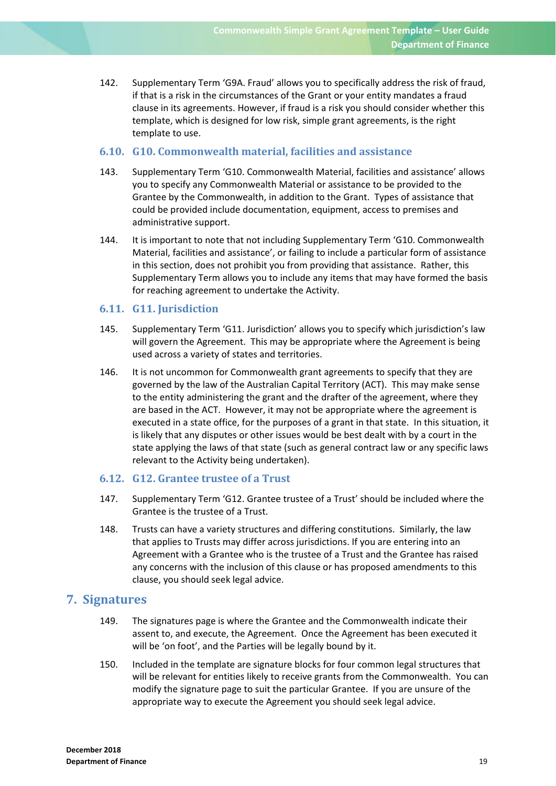142. Supplementary Term 'G9A. Fraud' allows you to specifically address the risk of fraud, if that is a risk in the circumstances of the Grant or your entity mandates a fraud clause in its agreements. However, if fraud is a risk you should consider whether this template, which is designed for low risk, simple grant agreements, is the right template to use.

### **6.10. G10. Commonwealth material, facilities and assistance**

- 143. Supplementary Term 'G10. Commonwealth Material, facilities and assistance' allows you to specify any Commonwealth Material or assistance to be provided to the Grantee by the Commonwealth, in addition to the Grant. Types of assistance that could be provided include documentation, equipment, access to premises and administrative support.
- 144. It is important to note that not including Supplementary Term 'G10. Commonwealth Material, facilities and assistance', or failing to include a particular form of assistance in this section, does not prohibit you from providing that assistance. Rather, this Supplementary Term allows you to include any items that may have formed the basis for reaching agreement to undertake the Activity.

### **6.11. G11. Jurisdiction**

- 145. Supplementary Term 'G11. Jurisdiction' allows you to specify which jurisdiction's law will govern the Agreement. This may be appropriate where the Agreement is being used across a variety of states and territories.
- 146. It is not uncommon for Commonwealth grant agreements to specify that they are governed by the law of the Australian Capital Territory (ACT). This may make sense to the entity administering the grant and the drafter of the agreement, where they are based in the ACT. However, it may not be appropriate where the agreement is executed in a state office, for the purposes of a grant in that state. In this situation, it is likely that any disputes or other issues would be best dealt with by a court in the state applying the laws of that state (such as general contract law or any specific laws relevant to the Activity being undertaken).

### **6.12. G12. Grantee trustee of a Trust**

- 147. Supplementary Term 'G12. Grantee trustee of a Trust' should be included where the Grantee is the trustee of a Trust.
- 148. Trusts can have a variety structures and differing constitutions. Similarly, the law that applies to Trusts may differ across jurisdictions. If you are entering into an Agreement with a Grantee who is the trustee of a Trust and the Grantee has raised any concerns with the inclusion of this clause or has proposed amendments to this clause, you should seek legal advice.

### **7. Signatures**

- 149. The signatures page is where the Grantee and the Commonwealth indicate their assent to, and execute, the Agreement. Once the Agreement has been executed it will be 'on foot', and the Parties will be legally bound by it.
- 150. Included in the template are signature blocks for four common legal structures that will be relevant for entities likely to receive grants from the Commonwealth. You can modify the signature page to suit the particular Grantee. If you are unsure of the appropriate way to execute the Agreement you should seek legal advice.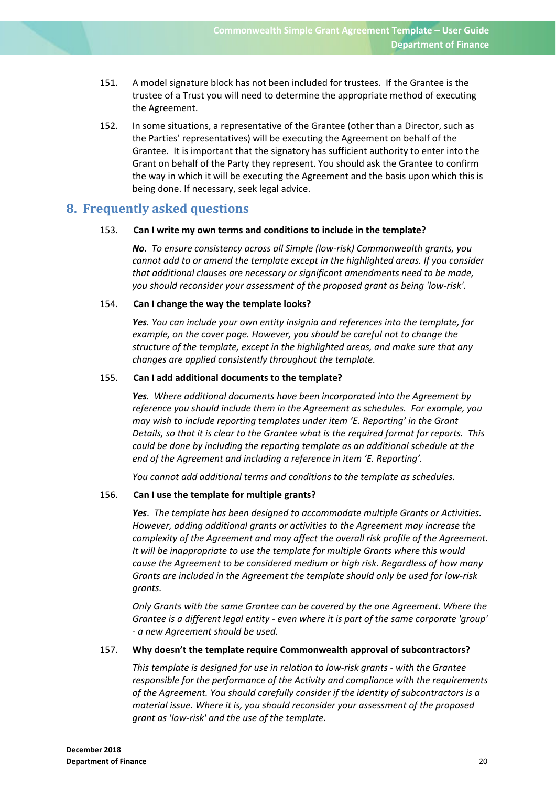- 151. A model signature block has not been included for trustees. If the Grantee is the trustee of a Trust you will need to determine the appropriate method of executing the Agreement.
- 152. In some situations, a representative of the Grantee (other than a Director, such as the Parties' representatives) will be executing the Agreement on behalf of the Grantee. It is important that the signatory has sufficient authority to enter into the Grant on behalf of the Party they represent. You should ask the Grantee to confirm the way in which it will be executing the Agreement and the basis upon which this is being done. If necessary, seek legal advice.

### **8. Frequently asked questions**

### 153. **Can I write my own terms and conditions to include in the template?**

*No. To ensure consistency across all Simple (low‐risk) Commonwealth grants, you cannot add to or amend the template except in the highlighted areas. If you consider that additional clauses are necessary or significant amendments need to be made, you should reconsider your assessment of the proposed grant as being 'low‐risk'.*

### 154. **Can I change the way the template looks?**

*Yes. You can include your own entity insignia and references into the template, for example, on the cover page. However, you should be careful not to change the structure of the template, except in the highlighted areas, and make sure that any changes are applied consistently throughout the template.* 

### 155. **Can I add additional documents to the template?**

*Yes. Where additional documents have been incorporated into the Agreement by reference you should include them in the Agreement as schedules. For example, you may wish to include reporting templates under item 'E. Reporting' in the Grant Details, so that it is clear to the Grantee what is the required format for reports. This could be done by including the reporting template as an additional schedule at the end of the Agreement and including a reference in item 'E. Reporting'.* 

*You cannot add additional terms and conditions to the template as schedules.*

### 156. **Can I use the template for multiple grants?**

*Yes*. *The template has been designed to accommodate multiple Grants or Activities. However, adding additional grants or activities to the Agreement may increase the complexity of the Agreement and may affect the overall risk profile of the Agreement. It will be inappropriate to use the template for multiple Grants where this would cause the Agreement to be considered medium or high risk. Regardless of how many Grants are included in the Agreement the template should only be used for low‐risk grants.*

*Only Grants with the same Grantee can be covered by the one Agreement. Where the Grantee is a different legal entity ‐ even where it is part of the same corporate 'group' ‐ a new Agreement should be used.* 

### 157. **Why doesn't the template require Commonwealth approval of subcontractors?**

*This template is designed for use in relation to low‐risk grants ‐ with the Grantee responsible for the performance of the Activity and compliance with the requirements of the Agreement. You should carefully consider if the identity of subcontractors is a material issue. Where it is, you should reconsider your assessment of the proposed grant as 'low‐risk' and the use of the template.*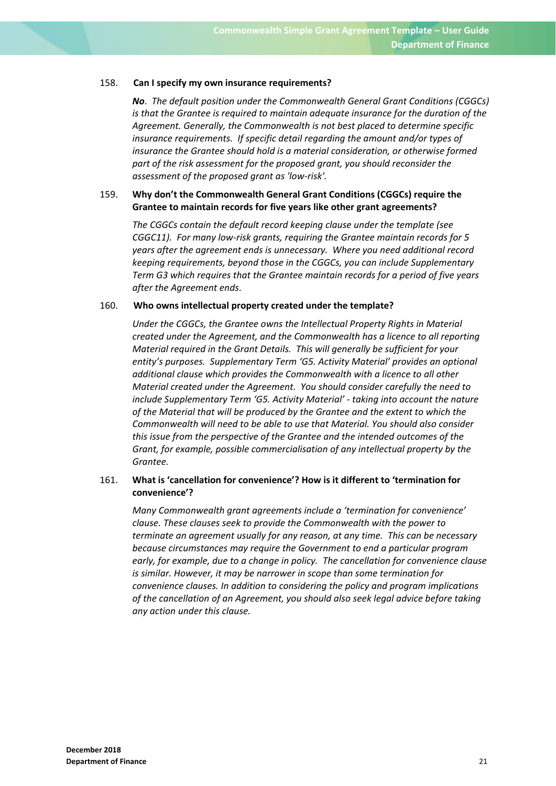#### 158. **Can I specify my own insurance requirements?**

*No*. *The default position under the Commonwealth General Grant Conditions (CGGCs) is that the Grantee is required to maintain adequate insurance for the duration of the Agreement. Generally, the Commonwealth is not best placed to determine specific insurance requirements. If specific detail regarding the amount and/or types of insurance the Grantee should hold is a material consideration, or otherwise formed part of the risk assessment for the proposed grant, you should reconsider the assessment of the proposed grant as 'low‐risk'.*

### 159. **Why don't the Commonwealth General Grant Conditions (CGGCs) require the Grantee to maintain records for five years like other grant agreements?**

*The CGGCs contain the default record keeping clause under the template (see CGGC11). For many low‐risk grants, requiring the Grantee maintain records for 5 years after the agreement ends is unnecessary. Where you need additional record keeping requirements, beyond those in the CGGCs, you can include Supplementary Term G3 which requires that the Grantee maintain records for a period of five years after the Agreement ends*.

### 160. **Who owns intellectual property created under the template?**

*Under the CGGCs, the Grantee owns the Intellectual Property Rights in Material created under the Agreement, and the Commonwealth has a licence to all reporting Material required in the Grant Details. This will generally be sufficient for your entity's purposes. Supplementary Term 'G5. Activity Material' provides an optional additional clause which provides the Commonwealth with a licence to all other Material created under the Agreement. You should consider carefully the need to include Supplementary Term 'G5. Activity Material' ‐ taking into account the nature of the Material that will be produced by the Grantee and the extent to which the Commonwealth will need to be able to use that Material. You should also consider this issue from the perspective of the Grantee and the intended outcomes of the Grant, for example, possible commercialisation of any intellectual property by the*  $G$ *rantee.* 

### 161. **What is 'cancellation for convenience'? How is it different to 'termination for convenience'?**

*Many Commonwealth grant agreements include a 'termination for convenience' clause. These clauses seek to provide the Commonwealth with the power to terminate an agreement usually for any reason, at any time. This can be necessary because circumstances may require the Government to end a particular program early, for example, due to a change in policy. The cancellation for convenience clause is similar. However, it may be narrower in scope than some termination for convenience clauses. In addition to considering the policy and program implications of the cancellation of an Agreement, you should also seek legal advice before taking any action under this clause.*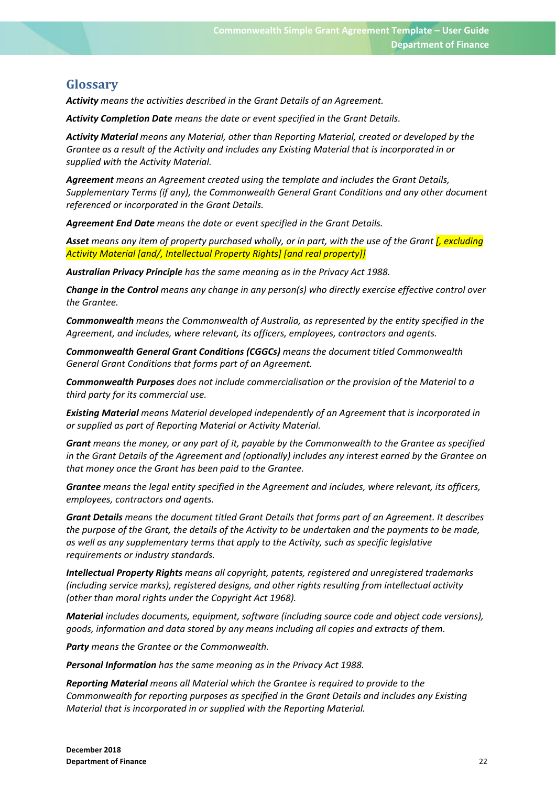# **Glossary**

*Activity means the activities described in the Grant Details of an Agreement.*

*Activity Completion Date means the date or event specified in the Grant Details.*

*Activity Material means any Material, other than Reporting Material, created or developed by the Grantee as a result of the Activity and includes any Existing Material that is incorporated in or supplied with the Activity Material.*

*Agreement means an Agreement created using the template and includes the Grant Details, Supplementary Terms (if any), the Commonwealth General Grant Conditions and any other document referenced or incorporated in the Grant Details.*

*Agreement End Date means the date or event specified in the Grant Details.* 

Asset means any item of property purchased wholly, or in part, with the use of the Grant *f*, excluding *Activity Material [and/, Intellectual Property Rights] [and real property]]*

*Australian Privacy Principle has the same meaning as in the Privacy Act 1988.*

*Change in the Control means any change in any person(s) who directly exercise effective control over the Grantee.*

*Commonwealth means the Commonwealth of Australia, as represented by the entity specified in the Agreement, and includes, where relevant, its officers, employees, contractors and agents.* 

*Commonwealth General Grant Conditions (CGGCs) means the document titled Commonwealth General Grant Conditions that forms part of an Agreement.*

*Commonwealth Purposes does not include commercialisation or the provision of the Material to a third party for its commercial use.*

*Existing Material means Material developed independently of an Agreement that is incorporated in or supplied as part of Reporting Material or Activity Material.*

*Grant means the money, or any part of it, payable by the Commonwealth to the Grantee as specified in the Grant Details of the Agreement and (optionally) includes any interest earned by the Grantee on that money once the Grant has been paid to the Grantee.*

*Grantee means the legal entity specified in the Agreement and includes, where relevant, its officers, employees, contractors and agents.*

*Grant Details means the document titled Grant Details that forms part of an Agreement. It describes* the purpose of the Grant, the details of the Activity to be undertaken and the payments to be made, *as well as any supplementary terms that apply to the Activity, such as specific legislative requirements or industry standards.*

*Intellectual Property Rights means all copyright, patents, registered and unregistered trademarks (including service marks), registered designs, and other rights resulting from intellectual activity (other than moral rights under the Copyright Act 1968).*

*Material includes documents, equipment, software (including source code and object code versions), goods, information and data stored by any means including all copies and extracts of them.*

*Party means the Grantee or the Commonwealth.*

*Personal Information has the same meaning as in the Privacy Act 1988.* 

*Reporting Material means all Material which the Grantee is required to provide to the Commonwealth for reporting purposes as specified in the Grant Details and includes any Existing Material that is incorporated in or supplied with the Reporting Material.*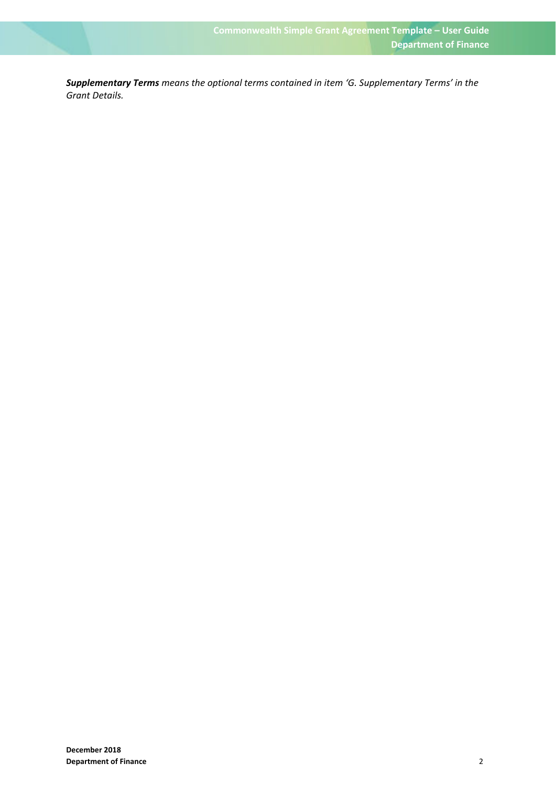*Supplementary Terms means the optional terms contained in item 'G. Supplementary Terms' in the Grant Details.*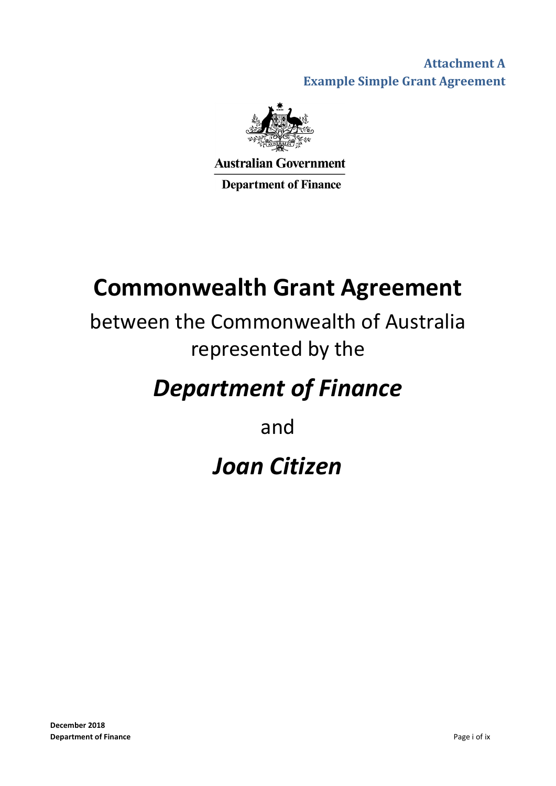**Attachment A Example Simple Grant Agreement**



**Australian Government** 

**Department of Finance** 

# **Commonwealth Grant Agreement**

# between the Commonwealth of Australia represented by the

# *Department of Finance*

and

# *Joan Citizen*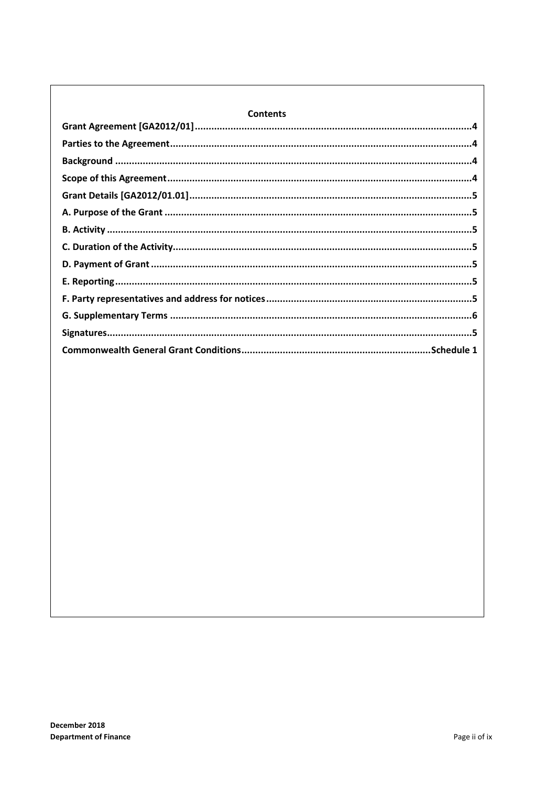| <b>Contents</b> |  |  |
|-----------------|--|--|
|                 |  |  |
|                 |  |  |
|                 |  |  |
|                 |  |  |
|                 |  |  |
|                 |  |  |
|                 |  |  |
|                 |  |  |
|                 |  |  |
|                 |  |  |
|                 |  |  |
|                 |  |  |
|                 |  |  |
|                 |  |  |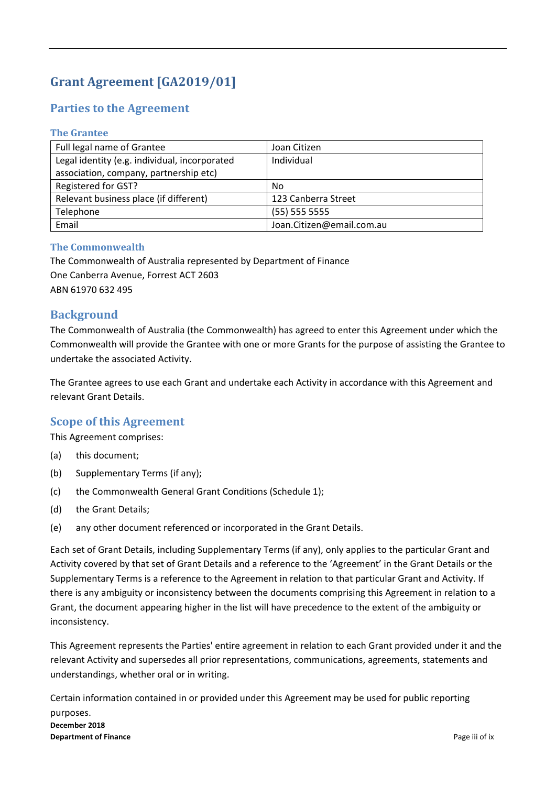# Grant **Agreement [GA2019/01]**

# **Parties to the Agreement**

### **The Grantee**

| Full legal name of Grantee                    | Joan Citizen              |
|-----------------------------------------------|---------------------------|
| Legal identity (e.g. individual, incorporated | Individual                |
| association, company, partnership etc)        |                           |
| Registered for GST?                           | No                        |
| Relevant business place (if different)        | 123 Canberra Street       |
| Telephone                                     | $(55)$ 555 5555           |
| Email                                         | Joan.Citizen@email.com.au |

### **The Commonwealth**

The Commonwealth of Australia represented by Department of Finance One Canberra Avenue, Forrest ACT 2603 ABN 61970 632 495

### **Background**

The Commonwealth of Australia (the Commonwealth) has agreed to enter this Agreement under which the Commonwealth will provide the Grantee with one or more Grants for the purpose of assisting the Grantee to undertake the associated Activity.

The Grantee agrees to use each Grant and undertake each Activity in accordance with this Agreement and relevant Grant Details.

### **Scope of this Agreement**

This Agreement comprises:

- (a) this document;
- (b) Supplementary Terms (if any);
- (c) the Commonwealth General Grant Conditions (Schedule 1);
- (d) the Grant Details;
- (e) any other document referenced or incorporated in the Grant Details.

Each set of Grant Details, including Supplementary Terms (if any), only applies to the particular Grant and Activity covered by that set of Grant Details and a reference to the 'Agreement' in the Grant Details or the Supplementary Terms is a reference to the Agreement in relation to that particular Grant and Activity. If there is any ambiguity or inconsistency between the documents comprising this Agreement in relation to a Grant, the document appearing higher in the list will have precedence to the extent of the ambiguity or inconsistency.

This Agreement represents the Parties' entire agreement in relation to each Grant provided under it and the relevant Activity and supersedes all prior representations, communications, agreements, statements and understandings, whether oral or in writing.

**December 2018 Department of Finance**  Page iii of ix Certain information contained in or provided under this Agreement may be used for public reporting purposes.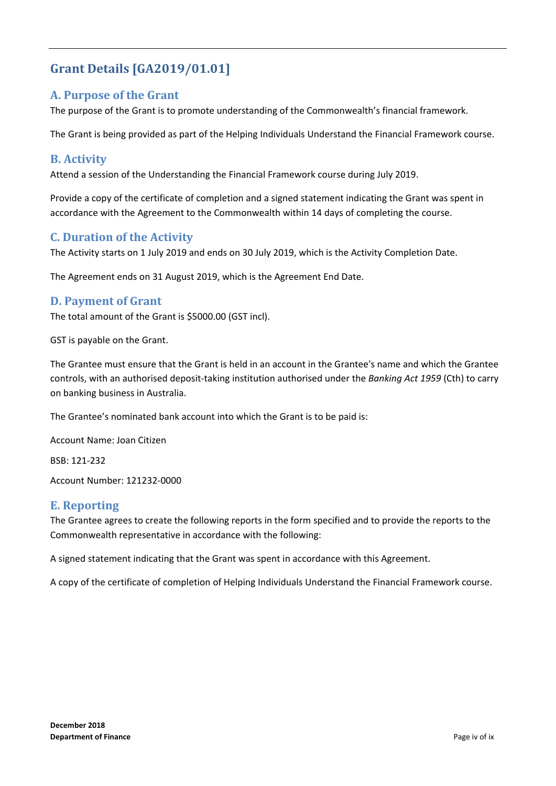# **Grant Details [GA2019/01.01]**

### **A. Purpose of the Grant**

The purpose of the Grant is to promote understanding of the Commonwealth's financial framework.

The Grant is being provided as part of the Helping Individuals Understand the Financial Framework course.

### **B. Activity**

Attend a session of the Understanding the Financial Framework course during July 2019.

Provide a copy of the certificate of completion and a signed statement indicating the Grant was spent in accordance with the Agreement to the Commonwealth within 14 days of completing the course.

### **C. Duration of the Activity**

The Activity starts on 1 July 2019 and ends on 30 July 2019, which is the Activity Completion Date.

The Agreement ends on 31 August 2019, which is the Agreement End Date.

### **D.** Payment of Grant

The total amount of the Grant is \$5000.00 (GST incl).

GST is payable on the Grant.

The Grantee must ensure that the Grant is held in an account in the Grantee's name and which the Grantee controls, with an authorised deposit‐taking institution authorised under the *Banking Act 1959* (Cth) to carry on banking business in Australia.

The Grantee's nominated bank account into which the Grant is to be paid is:

Account Name: Joan Citizen

BSB: 121‐232

Account Number: 121232‐0000

### **E. Reporting**

The Grantee agrees to create the following reports in the form specified and to provide the reports to the Commonwealth representative in accordance with the following:

A signed statement indicating that the Grant was spent in accordance with this Agreement.

A copy of the certificate of completion of Helping Individuals Understand the Financial Framework course.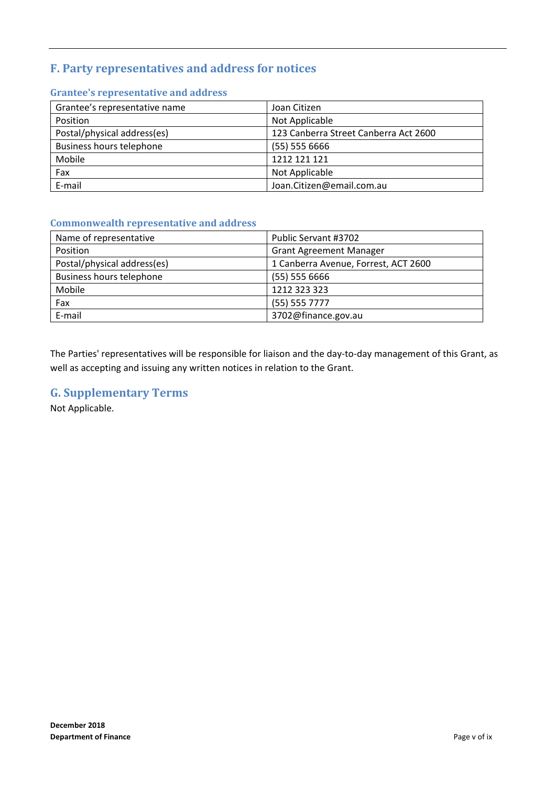# **F. Party representatives and address for notices**

| Grantee's representative name   | Joan Citizen                          |
|---------------------------------|---------------------------------------|
| Position                        | Not Applicable                        |
| Postal/physical address(es)     | 123 Canberra Street Canberra Act 2600 |
| <b>Business hours telephone</b> | $(55)$ 555 6666                       |
| Mobile                          | 1212 121 121                          |
| Fax                             | Not Applicable                        |
| E-mail                          | Joan.Citizen@email.com.au             |

### **Grantee's representative and address**

### **Commonwealth representative and address**

| Name of representative          | Public Servant #3702                 |
|---------------------------------|--------------------------------------|
| Position                        | <b>Grant Agreement Manager</b>       |
| Postal/physical address(es)     | 1 Canberra Avenue, Forrest, ACT 2600 |
| <b>Business hours telephone</b> | $(55)$ 555 6666                      |
| Mobile                          | 1212 323 323                         |
| Fax                             | $(55)$ 555 7777                      |
| E-mail                          | 3702@finance.gov.au                  |

The Parties' representatives will be responsible for liaison and the day-to-day management of this Grant, as well as accepting and issuing any written notices in relation to the Grant.

### **G. Supplementary Terms**

Not Applicable.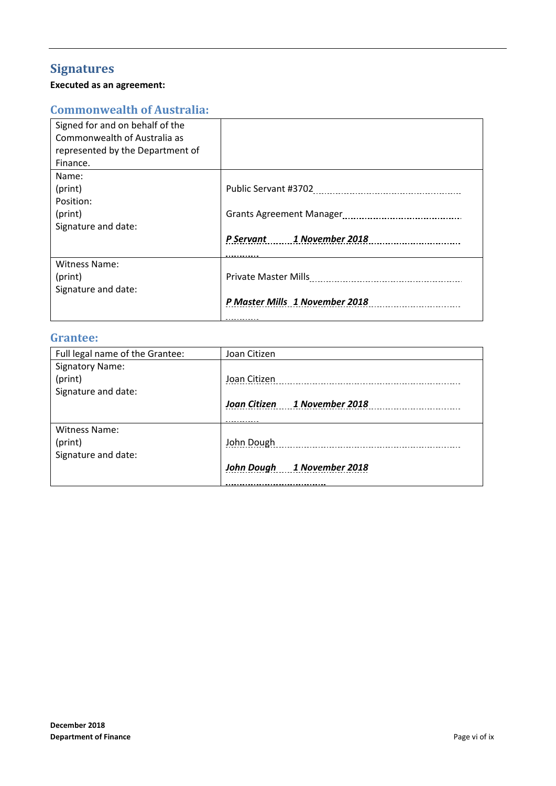# **Signatures**

### **Executed as an agreement:**

# **Commonwealth of Australia:**

| Signed for and on behalf of the<br>Commonwealth of Australia as |                                |
|-----------------------------------------------------------------|--------------------------------|
| represented by the Department of                                |                                |
| Finance.                                                        |                                |
| Name:                                                           |                                |
| (print)                                                         |                                |
| Position:                                                       |                                |
| (print)                                                         |                                |
| Signature and date:                                             |                                |
|                                                                 | P Servant 1 November 2018      |
| <b>Witness Name:</b>                                            |                                |
| (print)                                                         |                                |
| Signature and date:                                             |                                |
|                                                                 | P Master Mills 1 November 2018 |
|                                                                 |                                |

### **Grantee:**

| Full legal name of the Grantee: | Joan Citizen                 |
|---------------------------------|------------------------------|
| <b>Signatory Name:</b>          |                              |
| (print)                         | Joan Citizen                 |
| Signature and date:             |                              |
|                                 | Joan Citizen 1 November 2018 |
|                                 |                              |
| Witness Name:                   |                              |
| (print)                         | John Dough                   |
| Signature and date:             |                              |
|                                 | John Dough 1 November 2018   |
|                                 |                              |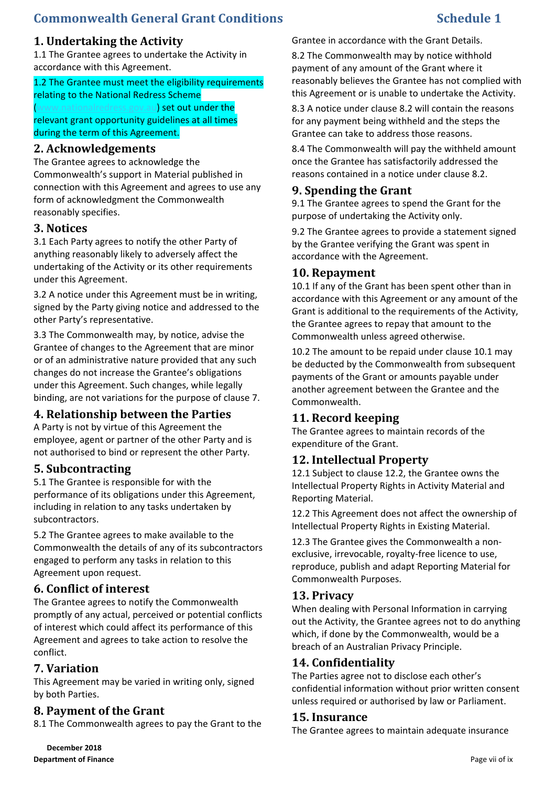# **Commonwealth General Grant Conditions Schedule 1**

# **1. Undertaking the Activity**

1.1 The Grantee agrees to undertake the Activity in accordance with this Agreement.

1.2 The Grantee must meet the eligibility requirements relating to the National Redress Scheme (u) set out under the relevant grant opportunity guidelines at all times

during the term of this Agreement.

### **2. Acknowledgements**

The Grantee agrees to acknowledge the Commonwealth's support in Material published in connection with this Agreement and agrees to use any form of acknowledgment the Commonwealth reasonably specifies.

### **3. Notices**

3.1 Each Party agrees to notify the other Party of anything reasonably likely to adversely affect the undertaking of the Activity or its other requirements under this Agreement.

3.2 A notice under this Agreement must be in writing, signed by the Party giving notice and addressed to the other Party's representative.

3.3 The Commonwealth may, by notice, advise the Grantee of changes to the Agreement that are minor or of an administrative nature provided that any such changes do not increase the Grantee's obligations under this Agreement. Such changes, while legally binding, are not variations for the purpose of clause 7.

### **4. Relationship between the Parties**

A Party is not by virtue of this Agreement the employee, agent or partner of the other Party and is not authorised to bind or represent the other Party.

### **5.** Subcontracting

5.1 The Grantee is responsible for with the performance of its obligations under this Agreement, including in relation to any tasks undertaken by subcontractors.

5.2 The Grantee agrees to make available to the Commonwealth the details of any of its subcontractors engaged to perform any tasks in relation to this Agreement upon request.

### **6. Conflict of interest**

The Grantee agrees to notify the Commonwealth promptly of any actual, perceived or potential conflicts of interest which could affect its performance of this Agreement and agrees to take action to resolve the conflict.

### **7. Variation**

This Agreement may be varied in writing only, signed by both Parties.

### **8. Payment of the Grant**

8.1 The Commonwealth agrees to pay the Grant to the

Grantee in accordance with the Grant Details.

8.2 The Commonwealth may by notice withhold payment of any amount of the Grant where it reasonably believes the Grantee has not complied with this Agreement or is unable to undertake the Activity.

8.3 A notice under clause 8.2 will contain the reasons for any payment being withheld and the steps the Grantee can take to address those reasons.

8.4 The Commonwealth will pay the withheld amount once the Grantee has satisfactorily addressed the reasons contained in a notice under clause 8.2.

## **9. Spending the Grant**

9.1 The Grantee agrees to spend the Grant for the purpose of undertaking the Activity only.

9.2 The Grantee agrees to provide a statement signed by the Grantee verifying the Grant was spent in accordance with the Agreement.

### **10. Repayment**

10.1 If any of the Grant has been spent other than in accordance with this Agreement or any amount of the Grant is additional to the requirements of the Activity, the Grantee agrees to repay that amount to the Commonwealth unless agreed otherwise.

10.2 The amount to be repaid under clause 10.1 may be deducted by the Commonwealth from subsequent payments of the Grant or amounts payable under another agreement between the Grantee and the Commonwealth.

# **11. Record keeping**

The Grantee agrees to maintain records of the expenditure of the Grant.

### **12. Intellectual Property**

12.1 Subject to clause 12.2, the Grantee owns the Intellectual Property Rights in Activity Material and Reporting Material.

12.2 This Agreement does not affect the ownership of Intellectual Property Rights in Existing Material.

12.3 The Grantee gives the Commonwealth a non‐ exclusive, irrevocable, royalty‐free licence to use, reproduce, publish and adapt Reporting Material for Commonwealth Purposes.

### 13. Privacy

When dealing with Personal Information in carrying out the Activity, the Grantee agrees not to do anything which, if done by the Commonwealth, would be a breach of an Australian Privacy Principle.

### **14. Confidentiality**

The Parties agree not to disclose each other's confidential information without prior written consent unless required or authorised by law or Parliament.

### **15. Insurance**

The Grantee agrees to maintain adequate insurance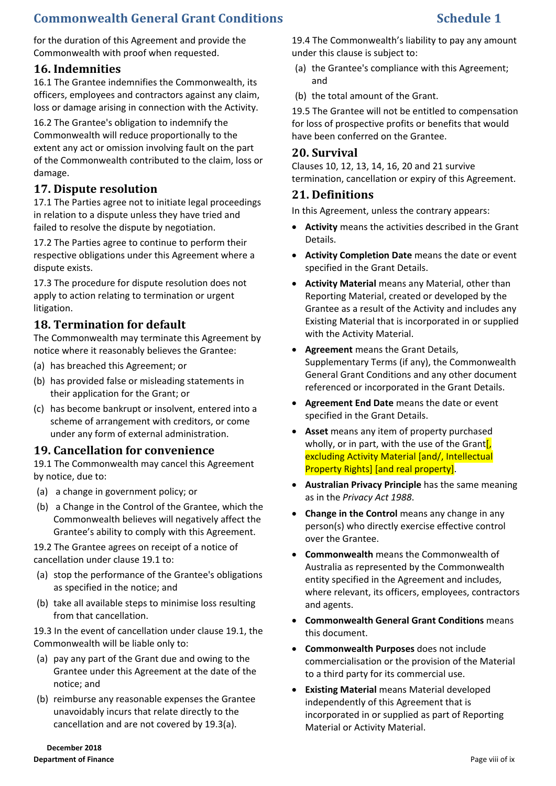# **Commonwealth General Grant Conditions Schedule 1**

for the duration of this Agreement and provide the Commonwealth with proof when requested.

# **16. Indemnities**

16.1 The Grantee indemnifies the Commonwealth, its officers, employees and contractors against any claim, loss or damage arising in connection with the Activity.

16.2 The Grantee's obligation to indemnify the Commonwealth will reduce proportionally to the extent any act or omission involving fault on the part of the Commonwealth contributed to the claim, loss or damage.

# **17. Dispute resolution**

17.1 The Parties agree not to initiate legal proceedings in relation to a dispute unless they have tried and failed to resolve the dispute by negotiation.

17.2 The Parties agree to continue to perform their respective obligations under this Agreement where a dispute exists.

17.3 The procedure for dispute resolution does not apply to action relating to termination or urgent litigation.

### **18. Termination for default**

The Commonwealth may terminate this Agreement by notice where it reasonably believes the Grantee:

- (a) has breached this Agreement; or
- (b) has provided false or misleading statements in their application for the Grant; or
- (c) has become bankrupt or insolvent, entered into a scheme of arrangement with creditors, or come under any form of external administration.

### **19. Cancellation for convenience**

19.1 The Commonwealth may cancel this Agreement by notice, due to:

- (a) a change in government policy; or
- (b) a Change in the Control of the Grantee, which the Commonwealth believes will negatively affect the Grantee's ability to comply with this Agreement.

19.2 The Grantee agrees on receipt of a notice of cancellation under clause 19.1 to:

- (a) stop the performance of the Grantee's obligations as specified in the notice; and
- (b) take all available steps to minimise loss resulting from that cancellation.

19.3 In the event of cancellation under clause 19.1, the Commonwealth will be liable only to:

- (a) pay any part of the Grant due and owing to the Grantee under this Agreement at the date of the notice; and
- (b) reimburse any reasonable expenses the Grantee unavoidably incurs that relate directly to the cancellation and are not covered by 19.3(a).

**December 2018 Department of Finance Page viii of ix Page viii of ix Page viii of ix Page viii of ix Page viii of ix** 

19.4 The Commonwealth's liability to pay any amount under this clause is subject to:

- (a) the Grantee's compliance with this Agreement; and
- (b) the total amount of the Grant.

19.5 The Grantee will not be entitled to compensation for loss of prospective profits or benefits that would have been conferred on the Grantee.

### **20. Survival**

Clauses 10, 12, 13, 14, 16, 20 and 21 survive termination, cancellation or expiry of this Agreement.

### **21. Definitions**

In this Agreement, unless the contrary appears:

- **Activity** means the activities described in the Grant Details.
- **Activity Completion Date** means the date or event specified in the Grant Details.
- **Activity Material** means any Material, other than Reporting Material, created or developed by the Grantee as a result of the Activity and includes any Existing Material that is incorporated in or supplied with the Activity Material.
- **Agreement** means the Grant Details, Supplementary Terms (if any), the Commonwealth General Grant Conditions and any other document referenced or incorporated in the Grant Details.
- **Agreement End Date** means the date or event specified in the Grant Details.
- **Asset** means any item of property purchased wholly, or in part, with the use of the Grant $\left[\right]$ , excluding Activity Material [and/, Intellectual Property Rights] [and real property].
- **Australian Privacy Principle** has the same meaning as in the *Privacy Act 1988*.
- **Change in the Control** means any change in any person(s) who directly exercise effective control over the Grantee.
- **Commonwealth** means the Commonwealth of Australia as represented by the Commonwealth entity specified in the Agreement and includes, where relevant, its officers, employees, contractors and agents.
- **Commonwealth General Grant Conditions** means this document.
- **Commonwealth Purposes** does not include commercialisation or the provision of the Material to a third party for its commercial use.
- **Existing Material** means Material developed independently of this Agreement that is incorporated in or supplied as part of Reporting Material or Activity Material.